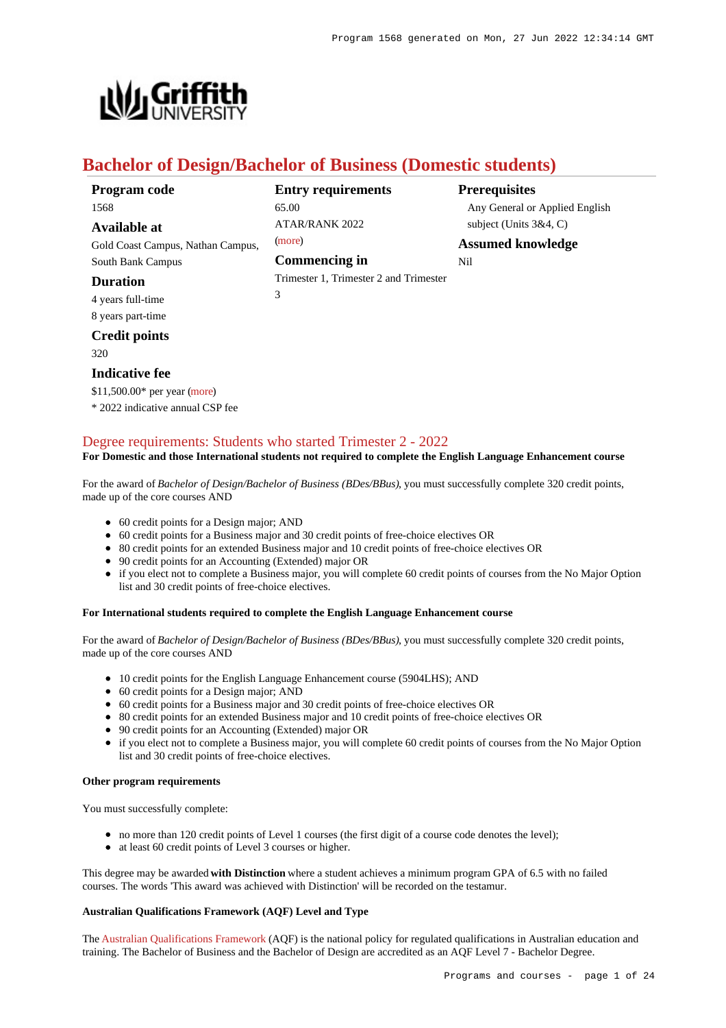

# **Bachelor of Design/Bachelor of Business (Domestic students)**

| Program code                      | <b>Entry requirements</b>              | <b>Prerequisites</b>           |
|-----------------------------------|----------------------------------------|--------------------------------|
| 1568                              | 65.00                                  | Any General or Applied English |
| Available at                      | ATAR/RANK 2022                         | subject (Units $3&4, C$ )      |
| Gold Coast Campus, Nathan Campus, | (more)                                 | <b>Assumed knowledge</b>       |
| South Bank Campus                 | Commencing in                          | Nil                            |
| <b>Duration</b>                   | Trimester 1, Trimester 2 and Trimester |                                |
| 4 years full-time                 | 3                                      |                                |
| 8 years part-time                 |                                        |                                |
| <b>Credit points</b>              |                                        |                                |

320

### **Indicative fee**

\$11,500.00\* per year [\(more](https://www148.griffith.edu.au/programs-courses/Program/1568/Overview/Domestic#fees)) \* 2022 indicative annual CSP fee

## [Degree requirements: Students who started Trimester 2 - 2022](https://www148.griffith.edu.au/programs-courses/Program/1568/Courses/Domestic#degree-requirements)

**For Domestic and those International students not required to complete the English Language Enhancement course**

For the award of *Bachelor of Design/Bachelor of Business (BDes/BBus)*, you must successfully complete 320 credit points, made up of the core courses AND

- 60 credit points for a Design major; AND
- 60 credit points for a Business major and 30 credit points of free-choice electives OR
- 80 credit points for an extended Business major and 10 credit points of free-choice electives OR
- 90 credit points for an Accounting (Extended) major OR
- if you elect not to complete a Business major, you will complete 60 credit points of courses from the No Major Option list and 30 credit points of free-choice electives.

#### **For International students required to complete the English Language Enhancement course**

For the award of *Bachelor of Design/Bachelor of Business (BDes/BBus)*, you must successfully complete 320 credit points, made up of the core courses AND

- 10 credit points for the English Language Enhancement course (5904LHS): AND
- 60 credit points for a Design major: AND
- 60 credit points for a Business major and 30 credit points of free-choice electives OR
- 80 credit points for an extended Business major and 10 credit points of free-choice electives OR
- 90 credit points for an Accounting (Extended) major OR
- if you elect not to complete a Business major, you will complete 60 credit points of courses from the No Major Option list and 30 credit points of free-choice electives.

#### **Other program requirements**

You must successfully complete:

- no more than 120 credit points of Level 1 courses (the first digit of a course code denotes the level);
- at least 60 credit points of Level 3 courses or higher.

This degree may be awarded **with Distinction** where a student achieves a minimum program GPA of 6.5 with no failed courses. The words 'This award was achieved with Distinction' will be recorded on the testamur.

### **Australian Qualifications Framework (AQF) Level and Type**

The [Australian Qualifications Framework](http://www.aqf.edu.au/) (AQF) is the national policy for regulated qualifications in Australian education and training. The Bachelor of Business and the Bachelor of Design are accredited as an AQF Level 7 - Bachelor Degree.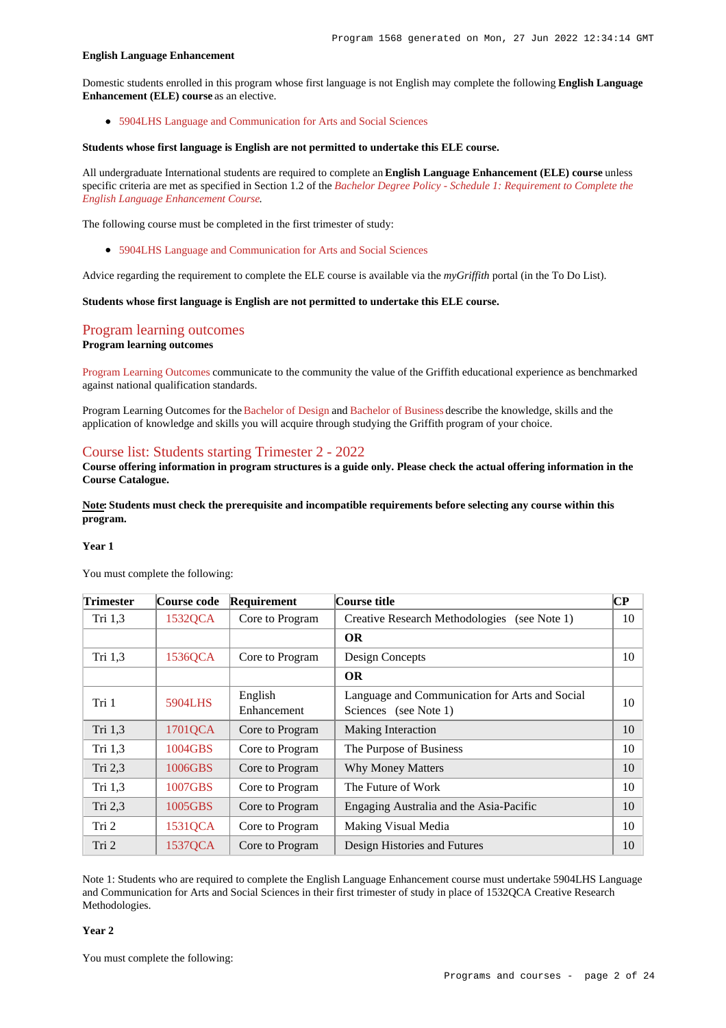#### **English Language Enhancement**

Domestic students enrolled in this program whose first language is not English may complete the following **English Language Enhancement (ELE) course** as an elective.

[5904LHS Language and Communication for Arts and Social Sciences](https://www148.griffith.edu.au/Course/5904LHS)

#### **Students whose first language is English are not permitted to undertake this ELE course.**

All undergraduate International students are required to complete an **English Language Enhancement (ELE) course** unless specific criteria are met as specified in Section 1.2 of the *[Bachelor Degree Policy - Schedule 1: Requirement to Complete the](http://policies.griffith.edu.au/pdf/Bachelor Degree Policy Schedule 1.pdf) [English Language Enhancement Course](http://policies.griffith.edu.au/pdf/Bachelor Degree Policy Schedule 1.pdf)*.

The following course must be completed in the first trimester of study:

[5904LHS Language and Communication for Arts and Social Sciences](https://www148.griffith.edu.au/Course/5904LHS)

Advice regarding the requirement to complete the ELE course is available via the *myGriffith* portal (in the To Do List).

**Students whose first language is English are not permitted to undertake this ELE course.**

## [Program learning outcomes](https://www148.griffith.edu.au/programs-courses/Program/1568/Courses/Domestic#programLearningOutcomes)

#### **Program learning outcomes**

[Program Learning Outcomes](https://www.griffith.edu.au/__data/assets/pdf_file/0017/134522/PLO-general-advice.pdf) communicate to the community the value of the Griffith educational experience as benchmarked against national qualification standards.

Program Learning Outcomes for the [Bachelor of Design](https://www.griffith.edu.au/__data/assets/pdf_file/0016/294010/BDesign-PLO-L7.pdf) and [Bachelor of Business](https://www.griffith.edu.au/__data/assets/pdf_file/0027/295506/BBusiness-PLO-L7.pdf) describe the knowledge, skills and the application of knowledge and skills you will acquire through studying the Griffith program of your choice.

### [Course list: Students starting Trimester 2 - 2022](https://www148.griffith.edu.au/programs-courses/Program/1568/Courses/Domestic#course-list-content)

**Course offering information in program structures is a guide only. Please check the actual offering information in the Course Catalogue.**

**Note: Students must check the prerequisite and incompatible requirements before selecting any course within this program.**

#### **Year 1**

| Trimester | Course code | Requirement            | Course title                                                            | CР |
|-----------|-------------|------------------------|-------------------------------------------------------------------------|----|
| Tri $1,3$ | 1532QCA     | Core to Program        | <b>Creative Research Methodologies</b><br>(see Note $1$ )               | 10 |
|           |             |                        | <b>OR</b>                                                               |    |
| Tri 1,3   | 1536QCA     | Core to Program        | Design Concepts                                                         | 10 |
|           |             |                        | <b>OR</b>                                                               |    |
| Tri 1     | 5904LHS     | English<br>Enhancement | Language and Communication for Arts and Social<br>Sciences (see Note 1) | 10 |
| Tri 1,3   | 1701QCA     | Core to Program        | Making Interaction                                                      | 10 |
| Tri $1,3$ | 1004GBS     | Core to Program        | The Purpose of Business                                                 | 10 |
| Tri 2,3   | 1006GBS     | Core to Program        | <b>Why Money Matters</b>                                                | 10 |
| Tri $1,3$ | 1007GBS     | Core to Program        | The Future of Work                                                      | 10 |
| Tri 2,3   | 1005GBS     | Core to Program        | Engaging Australia and the Asia-Pacific                                 | 10 |
| Tri 2     | 1531QCA     | Core to Program        | Making Visual Media                                                     | 10 |
| Tri 2     | 1537QCA     | Core to Program        | Design Histories and Futures                                            | 10 |

You must complete the following:

Note 1: Students who are required to complete the English Language Enhancement course must undertake 5904LHS Language and Communication for Arts and Social Sciences in their first trimester of study in place of 1532QCA Creative Research Methodologies.

**Year 2**

You must complete the following: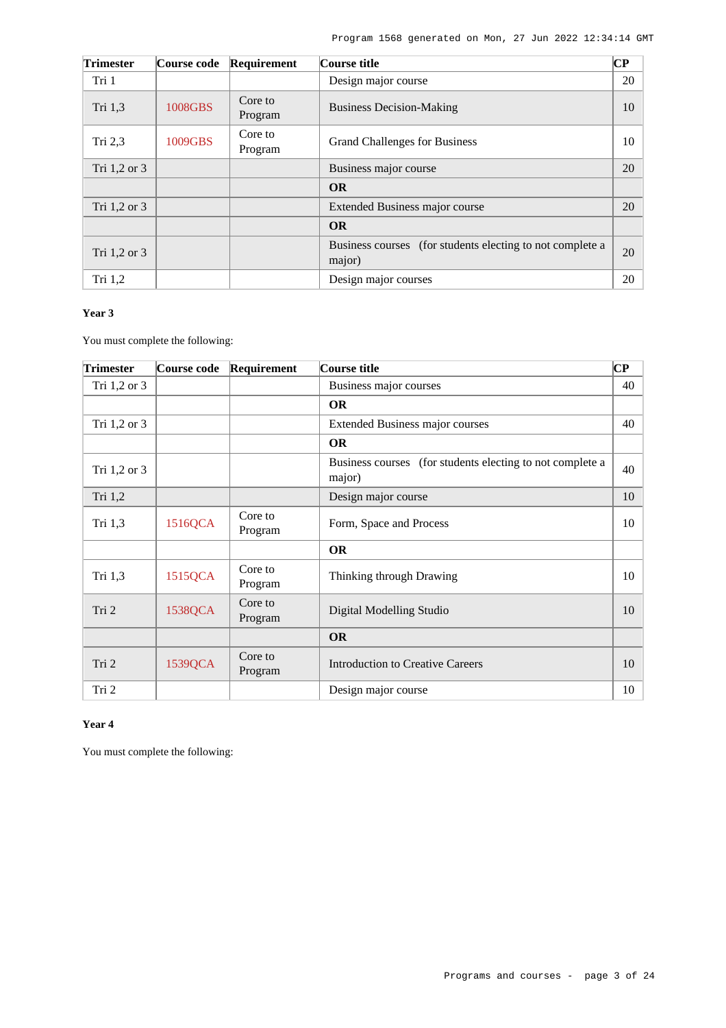| <b>Trimester</b> | <b>Course code</b> | Requirement        | Course title                                                        | <b>CP</b> |
|------------------|--------------------|--------------------|---------------------------------------------------------------------|-----------|
| Tri 1            |                    |                    | Design major course                                                 | 20        |
| Tri 1,3          | 1008GBS            | Core to<br>Program | <b>Business Decision-Making</b>                                     | 10        |
| Tri $2,3$        | 1009GBS            | Core to<br>Program | <b>Grand Challenges for Business</b>                                | 10        |
| Tri 1,2 or 3     |                    |                    | Business major course                                               | 20        |
|                  |                    |                    | <b>OR</b>                                                           |           |
| Tri 1,2 or 3     |                    |                    | Extended Business major course                                      | 20        |
|                  |                    |                    | <b>OR</b>                                                           |           |
| Tri $1,2$ or $3$ |                    |                    | Business courses (for students electing to not complete a<br>major) | 20        |
| Tri $1,2$        |                    |                    | Design major courses                                                | 20        |

### **Year 3**

You must complete the following:

| <b>Trimester</b> | Course code | Requirement        | Course title                                                        | $\bf CP$ |
|------------------|-------------|--------------------|---------------------------------------------------------------------|----------|
| Tri 1,2 or 3     |             |                    | Business major courses                                              | 40       |
|                  |             |                    | <b>OR</b>                                                           |          |
| Tri 1,2 or 3     |             |                    | Extended Business major courses                                     | 40       |
|                  |             |                    | <b>OR</b>                                                           |          |
| Tri 1,2 or 3     |             |                    | Business courses (for students electing to not complete a<br>major) | 40       |
| Tri 1,2          |             |                    | Design major course                                                 | 10       |
| Tri 1,3          | 1516QCA     | Core to<br>Program | Form, Space and Process                                             | 10       |
|                  |             |                    | <b>OR</b>                                                           |          |
| Tri $1,3$        | 1515QCA     | Core to<br>Program | Thinking through Drawing                                            | 10       |
| Tri 2            | 1538QCA     | Core to<br>Program | Digital Modelling Studio                                            | 10       |
|                  |             |                    | <b>OR</b>                                                           |          |
| Tri 2            | 1539QCA     | Core to<br>Program | <b>Introduction to Creative Careers</b>                             | 10       |
| Tri 2            |             |                    | Design major course                                                 | 10       |

### **Year 4**

You must complete the following: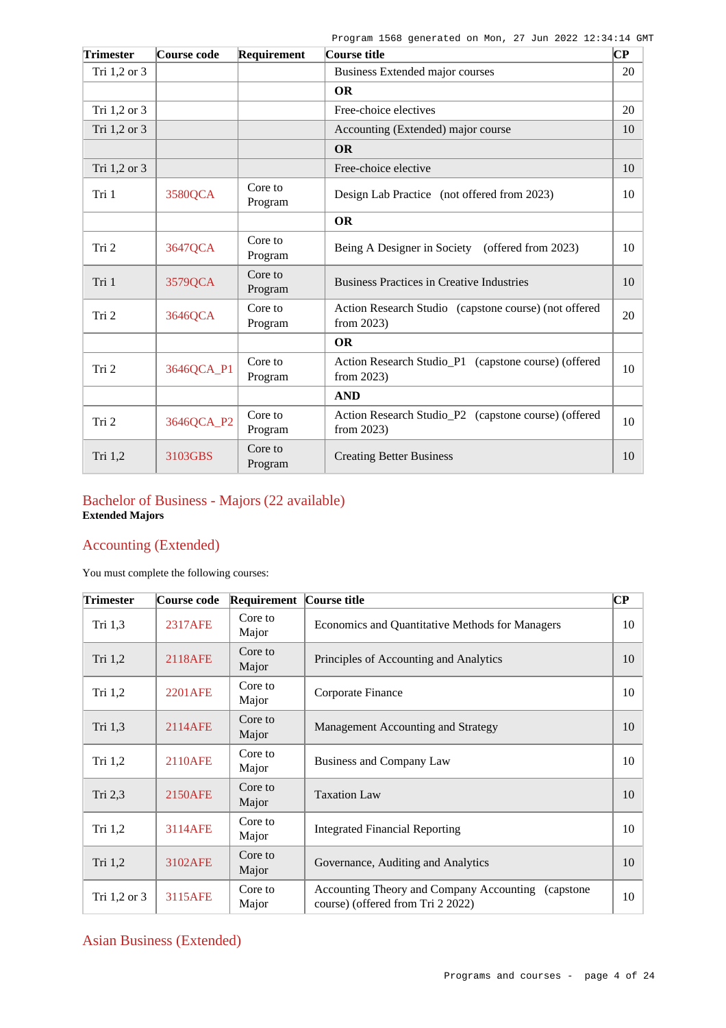| <b>Trimester</b> | Course code | Requirement        | Course title                                                          | ∣СР |
|------------------|-------------|--------------------|-----------------------------------------------------------------------|-----|
| Tri 1,2 or 3     |             |                    | Business Extended major courses                                       | 20  |
|                  |             |                    | <b>OR</b>                                                             |     |
| Tri 1,2 or 3     |             |                    | Free-choice electives                                                 | 20  |
| Tri 1,2 or 3     |             |                    | Accounting (Extended) major course                                    | 10  |
|                  |             |                    | <b>OR</b>                                                             |     |
| Tri 1,2 or 3     |             |                    | Free-choice elective                                                  | 10  |
| Tri 1            | 3580QCA     | Core to<br>Program | Design Lab Practice (not offered from 2023)                           | 10  |
|                  |             |                    | <b>OR</b>                                                             |     |
| Tri 2            | 3647QCA     | Core to<br>Program | Being A Designer in Society<br>(offered from 2023)                    | 10  |
| Tri 1            | 3579QCA     | Core to<br>Program | <b>Business Practices in Creative Industries</b>                      | 10  |
| Tri 2            | 3646QCA     | Core to<br>Program | Action Research Studio (capstone course) (not offered<br>from 2023)   | 20  |
|                  |             |                    | <b>OR</b>                                                             |     |
| Tri 2            | 3646QCA_P1  | Core to<br>Program | Action Research Studio_P1 (capstone course) (offered<br>from $2023$ ) | 10  |
|                  |             |                    | <b>AND</b>                                                            |     |
| Tri 2            | 3646QCA_P2  | Core to<br>Program | Action Research Studio_P2 (capstone course) (offered<br>from 2023)    | 10  |
| Tri $1,2$        | 3103GBS     | Core to<br>Program | <b>Creating Better Business</b>                                       | 10  |

# Bachelor of Business - Majors (22 available) **Extended Majors**

# Accounting (Extended)

You must complete the following courses:

| <b>Trimester</b> | Course code    | Requirement      | Course title                                                                             | $\overline{\mathbf{C}\mathbf{P}}$ |
|------------------|----------------|------------------|------------------------------------------------------------------------------------------|-----------------------------------|
| Tri $1,3$        | 2317AFE        | Core to<br>Major | Economics and Quantitative Methods for Managers                                          | 10                                |
| Tri 1,2          | 2118AFE        | Core to<br>Major | Principles of Accounting and Analytics                                                   | 10                                |
| Tri $1,2$        | 2201AFE        | Core to<br>Major | Corporate Finance                                                                        | 10                                |
| Tri 1,3          | 2114AFE        | Core to<br>Major | Management Accounting and Strategy                                                       | 10                                |
| Tri $1,2$        | <b>2110AFE</b> | Core to<br>Major | Business and Company Law                                                                 | 10                                |
| Tri $2,3$        | <b>2150AFE</b> | Core to<br>Major | <b>Taxation Law</b>                                                                      | 10                                |
| Tri 1,2          | 3114AFE        | Core to<br>Major | Integrated Financial Reporting                                                           | 10                                |
| Tri 1,2          | 3102AFE        | Core to<br>Major | Governance, Auditing and Analytics                                                       | 10                                |
| Tri 1,2 or 3     | 3115AFE        | Core to<br>Major | Accounting Theory and Company Accounting (capstone)<br>course) (offered from Tri 2 2022) | 10                                |

# Asian Business (Extended)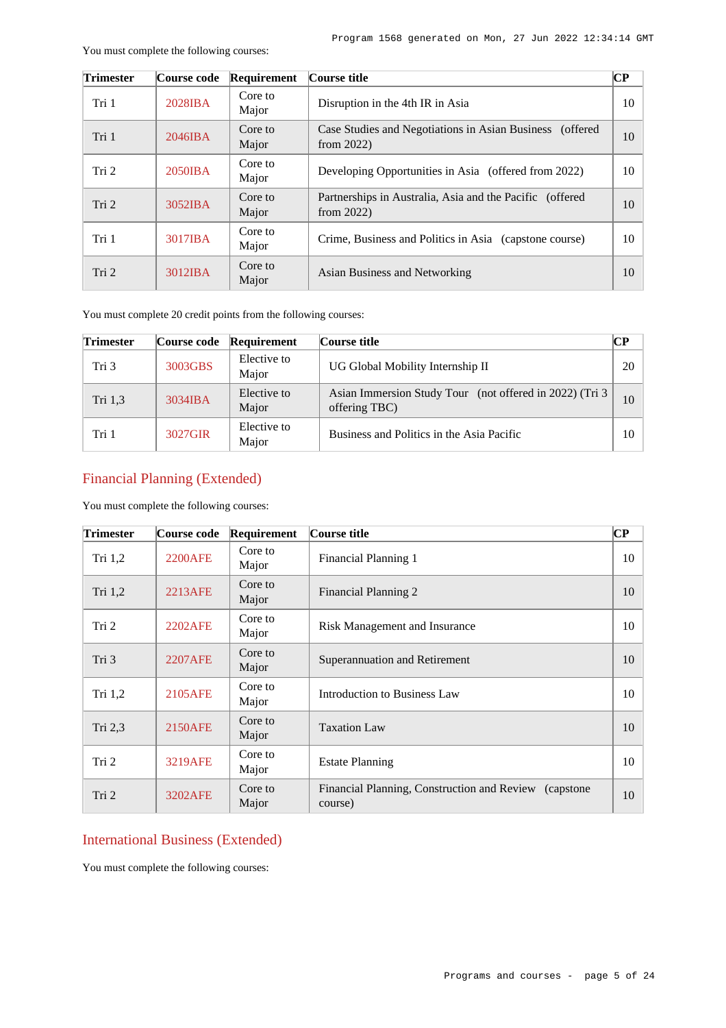Partnerships in Australia, Asia and the Pacific (offered  $\begin{bmatrix} 10 \\ 10 \end{bmatrix}$ 

Crime, Business and Politics in Asia (capstone course) 10

Asian Business and Networking 10

|                  | You must complete the following courses: |                  |                                                                               |    |  |
|------------------|------------------------------------------|------------------|-------------------------------------------------------------------------------|----|--|
| <b>Trimester</b> | Course code                              | Requirement      | Course title                                                                  | CР |  |
| Tri 1            | $2028$ <b>IBA</b>                        | Core to<br>Major | Disruption in the 4th IR in Asia                                              | 10 |  |
| Tri 1            | $2046$ IBA                               | Core to<br>Major | Case Studies and Negotiations in Asian Business<br>(offered)<br>from $2022$ ) | 10 |  |
| Tri 2            | $2050$ IBA                               | Core to<br>Major | Developing Opportunities in Asia (offered from 2022)                          | 10 |  |

Tri 2  $3052\text{IBA}$  Core to

Tri 1 [3017IBA](https://www148.griffith.edu.au/programs-courses/Course/3017IBA?courseListOrigin=C0000014957&programOfOrigin=1568) Core to Major

Tri 2 [3012IBA](https://www148.griffith.edu.au/programs-courses/Course/3012IBA?courseListOrigin=C0000014957&programOfOrigin=1568) Core to Major

You must complete 20 credit points from the following courses:

Major

| <b>Trimester</b> | Course code | Requirement          | Course title                                                              | $\bf CP$ |
|------------------|-------------|----------------------|---------------------------------------------------------------------------|----------|
| Tri 3            | 3003GBS     | Elective to<br>Major | UG Global Mobility Internship II                                          | 20       |
| Tri 1,3          | $3034$ IBA  | Elective to<br>Major | Asian Immersion Study Tour (not offered in 2022) (Tri 3)<br>offering TBC) | 10       |
| Tri 1            | 3027GIR     | Elective to<br>Major | Business and Politics in the Asia Pacific                                 | 10       |

# Financial Planning (Extended)

You must complete the following courses:

| <b>Trimester</b> | Course code    | Requirement      | Course title                                                         | $\overline{\mathbf{C}\mathbf{P}}$ |
|------------------|----------------|------------------|----------------------------------------------------------------------|-----------------------------------|
| Tri 1,2          | <b>2200AFE</b> | Core to<br>Major | Financial Planning 1                                                 | 10                                |
| Tri 1,2          | 2213AFE        | Core to<br>Major | Financial Planning 2                                                 | 10                                |
| Tri 2            | 2202AFE        | Core to<br>Major | Risk Management and Insurance                                        | 10                                |
| Tri 3            | <b>2207AFE</b> | Core to<br>Major | Superannuation and Retirement                                        | 10                                |
| Tri $1,2$        | 2105AFE        | Core to<br>Major | Introduction to Business Law                                         | 10                                |
| Tri $2,3$        | 2150AFE        | Core to<br>Major | <b>Taxation Law</b>                                                  | 10                                |
| Tri 2            | <b>3219AFE</b> | Core to<br>Major | <b>Estate Planning</b>                                               | 10                                |
| Tri 2            | 3202AFE        | Core to<br>Major | Financial Planning, Construction and Review<br>(capstone)<br>course) | 10                                |

## International Business (Extended)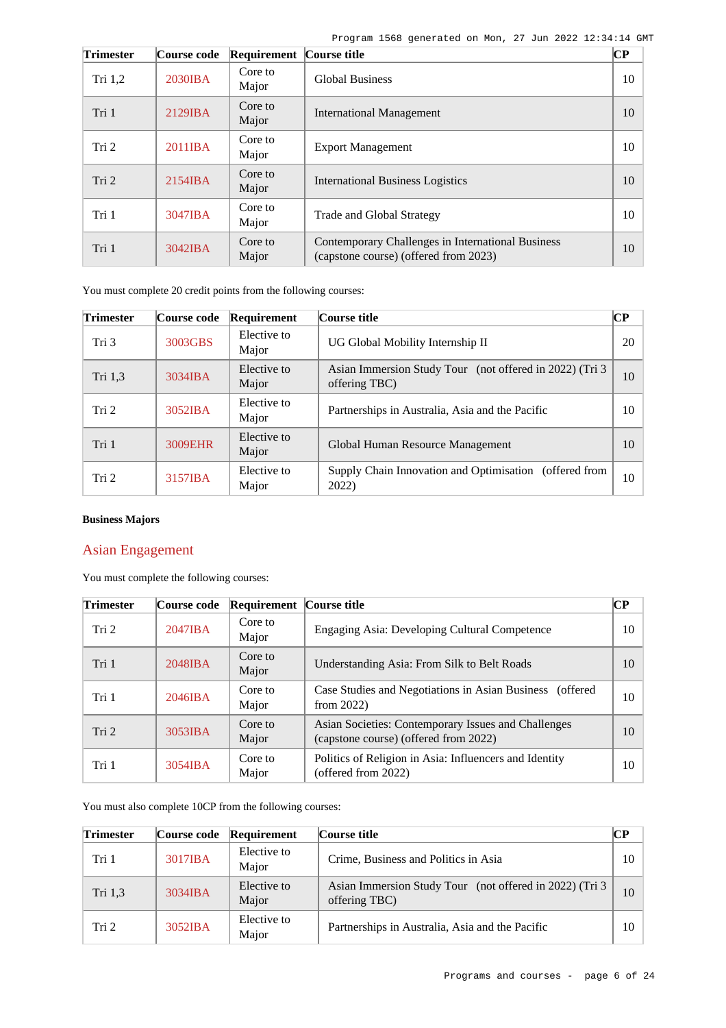| <b>Trimester</b> | Course code       | <b>Requirement Course title</b> |                                                                                            | $\bf CP$ |
|------------------|-------------------|---------------------------------|--------------------------------------------------------------------------------------------|----------|
| Tri $1,2$        | 2030IBA           | Core to<br>Major                | <b>Global Business</b>                                                                     | 10       |
| Tri 1            | 2129IBA           | Core to<br>Major                | <b>International Management</b>                                                            | 10       |
| Tri 2            | 2011IBA           | Core to<br>Major                | <b>Export Management</b>                                                                   | 10       |
| Tri 2            | $2154$ IBA        | Core to<br>Major                | <b>International Business Logistics</b>                                                    | 10       |
| Tri 1            | 3047IBA           | Core to<br>Major                | Trade and Global Strategy                                                                  | 10       |
| Tri 1            | $3042$ <b>IBA</b> | Core to<br>Major                | Contemporary Challenges in International Business<br>(capstone course) (offered from 2023) | 10       |

You must complete 20 credit points from the following courses:

| <b>Trimester</b> | Course code | Requirement          | Course title                                                              | <b>CP</b> |
|------------------|-------------|----------------------|---------------------------------------------------------------------------|-----------|
| Tri 3            | 3003GBS     | Elective to<br>Major | UG Global Mobility Internship II                                          | 20        |
| Tri 1,3          | 3034IBA     | Elective to<br>Major | Asian Immersion Study Tour (not offered in 2022) (Tri 3)<br>offering TBC) | 10        |
| Tri 2            | 3052IBA     | Elective to<br>Major | Partnerships in Australia, Asia and the Pacific                           | 10        |
| Tri 1            | 3009EHR     | Elective to<br>Major | Global Human Resource Management                                          | 10        |
| Tri 2            | 3157IBA     | Elective to<br>Major | Supply Chain Innovation and Optimisation (offered from<br>2022)           | 10        |

## **Business Majors**

# Asian Engagement

You must complete the following courses:

| <b>Trimester</b> | Course code | <b>Requirement Course title</b> |                                                                                              | $\overline{\mathbf{CP}}$ |
|------------------|-------------|---------------------------------|----------------------------------------------------------------------------------------------|--------------------------|
| Tri 2            | $2047$ IBA  | Core to<br>Major                | Engaging Asia: Developing Cultural Competence                                                | 10                       |
| Tri 1            | $2048$ IBA  | Core to<br>Major                | Understanding Asia: From Silk to Belt Roads                                                  | 10                       |
| Tri 1            | $2046$ IBA  | Core to<br>Major                | Case Studies and Negotiations in Asian Business (offered<br>from $2022$ )                    | 10                       |
| Tri 2            | 3053IBA     | Core to<br>Major                | Asian Societies: Contemporary Issues and Challenges<br>(capstone course) (offered from 2022) | 10                       |
| Tri 1            | 3054IBA     | Core to<br>Major                | Politics of Religion in Asia: Influencers and Identity<br>(offered from 2022)                | 10                       |

You must also complete 10CP from the following courses:

| <b>Trimester</b> | Course code       | Requirement          | Course title                                                              | CР |
|------------------|-------------------|----------------------|---------------------------------------------------------------------------|----|
| Tri 1            | 3017IBA           | Elective to<br>Major | Crime, Business and Politics in Asia                                      | 10 |
| Tri 1.3          | 3034IBA           | Elective to<br>Major | Asian Immersion Study Tour (not offered in 2022) (Tri 3)<br>offering TBC) | 10 |
| Tri 2            | $3052$ <b>IBA</b> | Elective to<br>Major | Partnerships in Australia, Asia and the Pacific                           | 10 |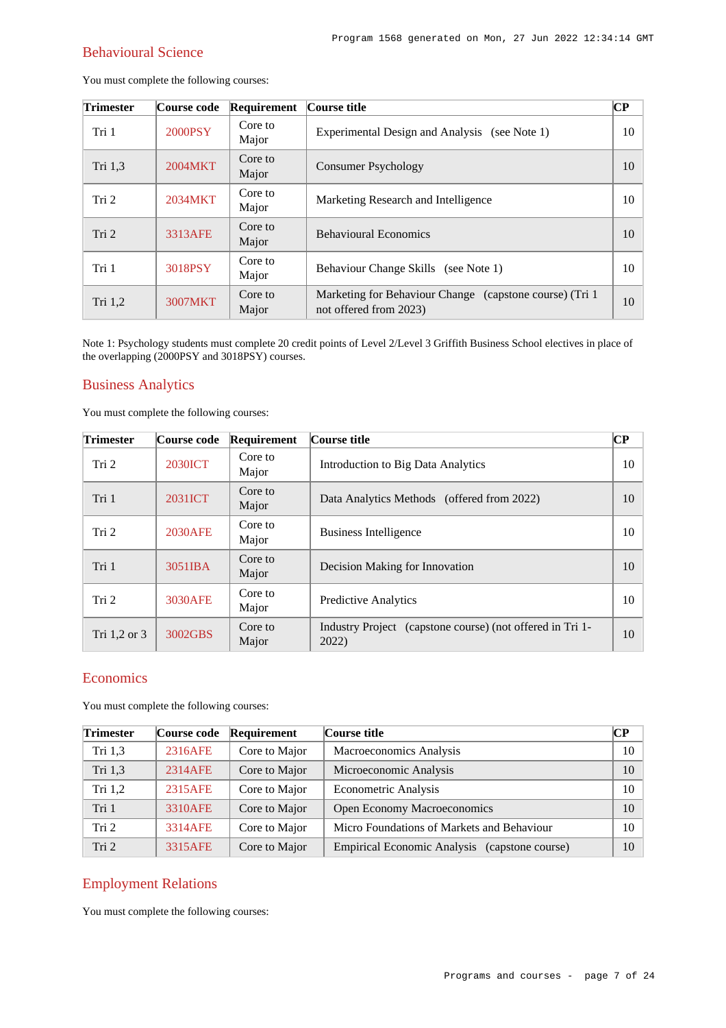# Behavioural Science

You must complete the following courses:

| <b>Trimester</b> | Course code | Requirement      | Course title                                                                       | $\bf CP$ |
|------------------|-------------|------------------|------------------------------------------------------------------------------------|----------|
| Tri 1            | 2000PSY     | Core to<br>Major | Experimental Design and Analysis<br>(see Note 1)                                   | 10       |
| Tri 1,3          | 2004MKT     | Core to<br>Major | <b>Consumer Psychology</b>                                                         | 10       |
| Tri 2            | 2034MKT     | Core to<br>Major | Marketing Research and Intelligence                                                | 10       |
| Tri 2            | 3313AFE     | Core to<br>Major | <b>Behavioural Economics</b>                                                       | 10       |
| Tri 1            | 3018PSY     | Core to<br>Major | Behaviour Change Skills (see Note 1)                                               | 10       |
| Tri 1,2          | 3007MKT     | Core to<br>Major | Marketing for Behaviour Change (capstone course) (Tri 1)<br>not offered from 2023) | 10       |

Note 1: Psychology students must complete 20 credit points of Level 2/Level 3 Griffith Business School electives in place of the overlapping (2000PSY and 3018PSY) courses.

## Business Analytics

You must complete the following courses:

| <b>Trimester</b> | Course code | Requirement      | Course title                                                       | $\overline{\mathbf{CP}}$ |
|------------------|-------------|------------------|--------------------------------------------------------------------|--------------------------|
| Tri 2            | 2030ICT     | Core to<br>Major | <b>Introduction to Big Data Analytics</b>                          | 10                       |
| Tri 1            | 2031ICT     | Core to<br>Major | Data Analytics Methods (offered from 2022)                         | 10                       |
| Tri 2            | 2030AFE     | Core to<br>Major | <b>Business Intelligence</b>                                       | 10                       |
| Tri 1            | 3051IBA     | Core to<br>Major | Decision Making for Innovation                                     | 10                       |
| Tri 2            | 3030AFE     | Core to<br>Major | <b>Predictive Analytics</b>                                        | 10                       |
| Tri $1,2$ or $3$ | 3002GBS     | Core to<br>Major | Industry Project (capstone course) (not offered in Tri 1-<br>2022) | 10                       |

# **Economics**

You must complete the following courses:

| <b>Trimester</b> | Course code | Requirement   | Course title                                            | CР |
|------------------|-------------|---------------|---------------------------------------------------------|----|
| Tri 1,3          | 2316AFE     | Core to Major | Macroeconomics Analysis                                 | 10 |
| Tri 1,3          | 2314AFE     | Core to Major | Microeconomic Analysis                                  | 10 |
| Tri $1,2$        | 2315AFE     | Core to Major | Econometric Analysis                                    | 10 |
| Tri 1            | 3310AFE     | Core to Major | Open Economy Macroeconomics                             | 10 |
| Tri 2            | 3314AFE     | Core to Major | Micro Foundations of Markets and Behaviour              | 10 |
| Tri 2            | 3315AFE     | Core to Major | <b>Empirical Economic Analysis</b><br>(capstone course) | 10 |

# Employment Relations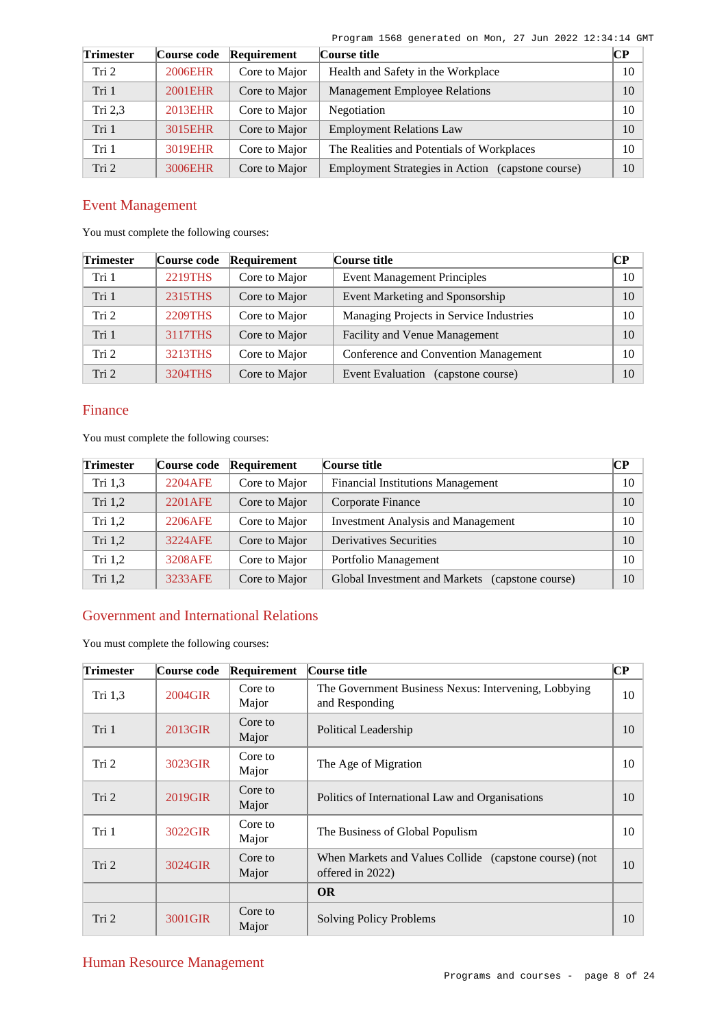| <b>Trimester</b> | Course code | Requirement   | Course title                                      | $\bf CP$ |
|------------------|-------------|---------------|---------------------------------------------------|----------|
| Tri <sub>2</sub> | 2006EHR     | Core to Major | Health and Safety in the Workplace                | 10       |
| Tri 1            | 2001EHR     | Core to Major | <b>Management Employee Relations</b>              | 10       |
| Tri $2,3$        | 2013EHR     | Core to Major | Negotiation                                       | 10       |
| Tri 1            | 3015EHR     | Core to Major | <b>Employment Relations Law</b>                   | 10       |
| Tri 1            | 3019EHR     | Core to Major | The Realities and Potentials of Workplaces        | 10       |
| Tri <sub>2</sub> | 3006EHR     | Core to Major | Employment Strategies in Action (capstone course) | 10       |

# Event Management

You must complete the following courses:

| <b>Trimester</b> | Course code | Requirement   | Course title                                 | CР |
|------------------|-------------|---------------|----------------------------------------------|----|
| Tri 1            | 2219THS     | Core to Major | <b>Event Management Principles</b>           | 10 |
| Tri 1            | 2315THS     | Core to Major | Event Marketing and Sponsorship              | 10 |
| Tri 2            | 2209THS     | Core to Major | Managing Projects in Service Industries      | 10 |
| Tri 1            | 3117THS     | Core to Major | Facility and Venue Management                | 10 |
| Tri 2            | 3213THS     | Core to Major | Conference and Convention Management         | 10 |
| Tri <sub>2</sub> | 3204THS     | Core to Major | <b>Event Evaluation</b><br>(capstone course) | 10 |

# Finance

You must complete the following courses:

| <b>Trimester</b> | Course code | Requirement   | Course title                                       | CР |
|------------------|-------------|---------------|----------------------------------------------------|----|
| Tri 1,3          | 2204AFE     | Core to Major | <b>Financial Institutions Management</b>           | 10 |
| Tri $1,2$        | 2201 AFE    | Core to Major | Corporate Finance                                  | 10 |
| Tri $1,2$        | 2206AFE     | Core to Major | <b>Investment Analysis and Management</b>          | 10 |
| Tri $1,2$        | 3224AFE     | Core to Major | <b>Derivatives Securities</b>                      | 10 |
| Tri $1,2$        | 3208AFE     | Core to Major | Portfolio Management                               | 10 |
| Tri 1,2          | 3233AFE     | Core to Major | Global Investment and Markets<br>(capstone course) | 10 |

# Government and International Relations

| <b>Trimester</b> | Course code | Requirement      | Course title                                                               | $\bf CP$ |
|------------------|-------------|------------------|----------------------------------------------------------------------------|----------|
| Tri $1,3$        | 2004GIR     | Core to<br>Major | The Government Business Nexus: Intervening, Lobbying<br>and Responding     | 10       |
| Tri 1            | 2013GIR     | Core to<br>Major | Political Leadership                                                       | 10       |
| Tri 2            | 3023GIR     | Core to<br>Major | The Age of Migration                                                       | 10       |
| Tri <sub>2</sub> | 2019GIR     | Core to<br>Major | Politics of International Law and Organisations                            | 10       |
| Tri 1            | 3022GIR     | Core to<br>Major | The Business of Global Populism                                            | 10       |
| Tri 2            | 3024GIR     | Core to<br>Major | When Markets and Values Collide (capstone course) (not<br>offered in 2022) | 10       |
|                  |             |                  | <b>OR</b>                                                                  |          |
| Tri 2            | 3001GIR     | Core to<br>Major | <b>Solving Policy Problems</b>                                             | 10       |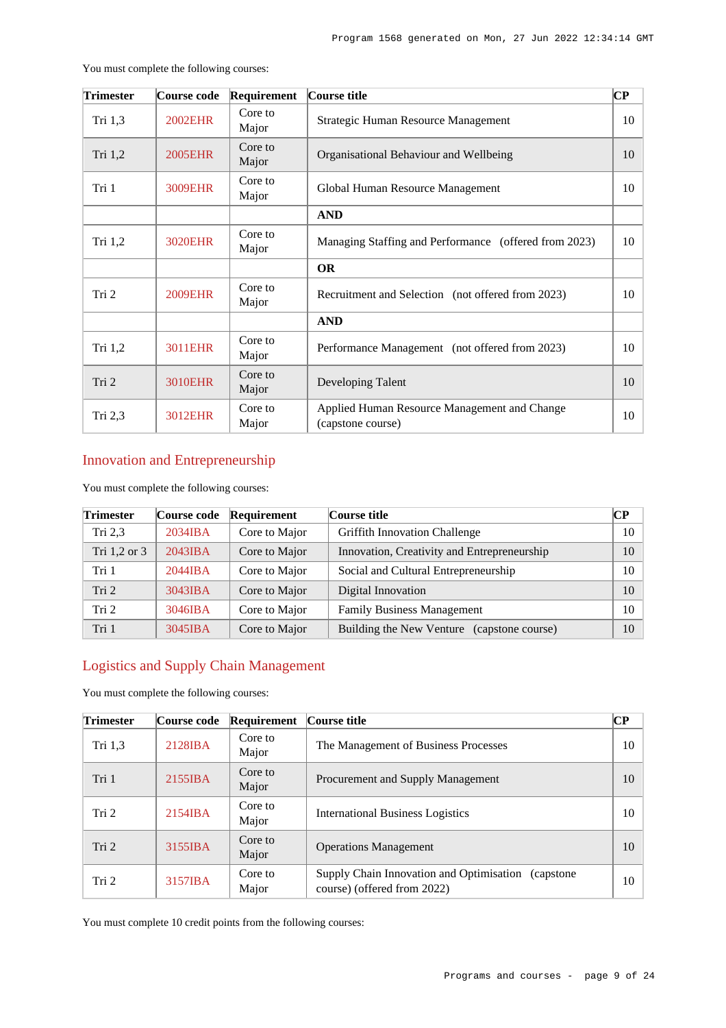| <b>Trimester</b> | Course code    | Requirement      | Course title                                                      | CР |
|------------------|----------------|------------------|-------------------------------------------------------------------|----|
| Tri 1,3          | <b>2002EHR</b> | Core to<br>Major | Strategic Human Resource Management                               | 10 |
| Tri 1,2          | <b>2005EHR</b> | Core to<br>Major | Organisational Behaviour and Wellbeing                            | 10 |
| Tri 1            | 3009EHR        | Core to<br>Major | Global Human Resource Management                                  | 10 |
|                  |                |                  | <b>AND</b>                                                        |    |
| Tri 1,2          | 3020EHR        | Core to<br>Major | Managing Staffing and Performance (offered from 2023)             | 10 |
|                  |                |                  | <b>OR</b>                                                         |    |
| Tri 2            | <b>2009EHR</b> | Core to<br>Major | Recruitment and Selection (not offered from 2023)                 | 10 |
|                  |                |                  | <b>AND</b>                                                        |    |
| Tri 1,2          | 3011EHR        | Core to<br>Major | Performance Management (not offered from 2023)                    | 10 |
| Tri 2            | <b>3010EHR</b> | Core to<br>Major | Developing Talent                                                 | 10 |
| Tri 2,3          | 3012EHR        | Core to<br>Major | Applied Human Resource Management and Change<br>(capstone course) | 10 |

You must complete the following courses:

# Innovation and Entrepreneurship

You must complete the following courses:

| <b>Trimester</b> | Course code  | Requirement   | Course title                                | $\bf CP$ |
|------------------|--------------|---------------|---------------------------------------------|----------|
| Tri 2.3          | $2034$ IBA   | Core to Major | <b>Griffith Innovation Challenge</b>        | 10       |
| Tri 1,2 or 3     | 2043IBA      | Core to Major | Innovation, Creativity and Entrepreneurship | 10       |
| Tri 1            | 2044IBA      | Core to Major | Social and Cultural Entrepreneurship        | 10       |
| Tri <sub>2</sub> | 3043IBA      | Core to Major | Digital Innovation                          | 10       |
| Tri <sub>2</sub> | $3046$ $IBA$ | Core to Major | <b>Family Business Management</b>           | 10       |
| Tri 1            | 3045IBA      | Core to Major | Building the New Venture (capstone course)  | 10       |

# Logistics and Supply Chain Management

You must complete the following courses:

| <b>Trimester</b> | Course code          | Requirement      | Course title                                                                       | <b>CP</b> |
|------------------|----------------------|------------------|------------------------------------------------------------------------------------|-----------|
| Tri $1,3$        | 2128 <sub>IB</sub> A | Core to<br>Major | The Management of Business Processes                                               | 10        |
| Tri 1            | 2155IBA              | Core to<br>Major | Procurement and Supply Management                                                  | 10        |
| Tri 2            | $2154$ IBA           | Core to<br>Major | <b>International Business Logistics</b>                                            | 10        |
| Tri 2            | 3155IBA              | Core to<br>Major | <b>Operations Management</b>                                                       | 10        |
| Tri 2            | 3157IBA              | Core to<br>Major | Supply Chain Innovation and Optimisation (capstone)<br>course) (offered from 2022) | 10        |

You must complete 10 credit points from the following courses: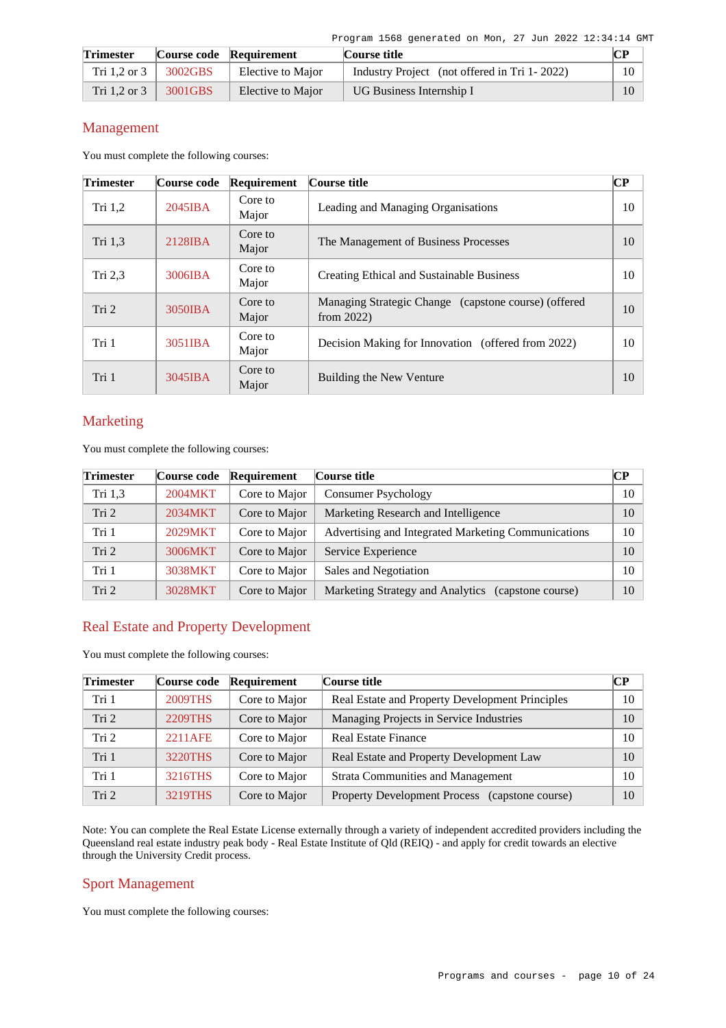| <b>Trimester</b> |         | Course code Requirement | Course title                                 | CР |
|------------------|---------|-------------------------|----------------------------------------------|----|
| Tri 1,2 or 3     | 3002GBS | Elective to Major       | Industry Project (not offered in Tri 1-2022) | 10 |
| Tri $1.2$ or $3$ | 3001GBS | Elective to Major       | UG Business Internship I                     | 10 |

## Management

You must complete the following courses:

| <b>Trimester</b> | Course code       | Requirement      | Course title                                                          | $\bf CP$ |
|------------------|-------------------|------------------|-----------------------------------------------------------------------|----------|
| Tri $1,2$        | $2045$ <b>IBA</b> | Core to<br>Major | Leading and Managing Organisations                                    | 10       |
| Tri 1,3          | 2128IBA           | Core to<br>Major | The Management of Business Processes                                  | 10       |
| Tri $2,3$        | 3006IBA           | Core to<br>Major | Creating Ethical and Sustainable Business                             | 10       |
| Tri 2            | 3050IBA           | Core to<br>Major | Managing Strategic Change (capstone course) (offered<br>from $2022$ ) | 10       |
| Tri 1            | 3051IBA           | Core to<br>Major | Decision Making for Innovation (offered from 2022)                    | 10       |
| Tri 1            | $3045$ IBA        | Core to<br>Major | Building the New Venture                                              | 10       |

# Marketing

You must complete the following courses:

| <b>Trimester</b> | Course code | Requirement   | Course title                                          | <b>CP</b> |
|------------------|-------------|---------------|-------------------------------------------------------|-----------|
| Tri 1,3          | 2004MKT     | Core to Major | Consumer Psychology                                   | 10        |
| Tri <sub>2</sub> | 2034MKT     | Core to Major | Marketing Research and Intelligence                   | 10        |
| Tri 1            | 2029MKT     | Core to Major | Advertising and Integrated Marketing Communications   | 10        |
| Tri 2            | 3006MKT     | Core to Major | Service Experience                                    | 10        |
| Tri 1            | 3038MKT     | Core to Major | Sales and Negotiation                                 | 10        |
| Tri <sub>2</sub> | 3028MKT     | Core to Major | Marketing Strategy and Analytics<br>(capstone course) | 10        |

# Real Estate and Property Development

You must complete the following courses:

| <b>Trimester</b> | Course code    | Requirement   | Course title                                    | CР |
|------------------|----------------|---------------|-------------------------------------------------|----|
| Tri 1            | <b>2009THS</b> | Core to Major | Real Estate and Property Development Principles | 10 |
| Tri 2            | 2209THS        | Core to Major | Managing Projects in Service Industries         | 10 |
| Tri 2            | 2211AFE        | Core to Major | <b>Real Estate Finance</b>                      | 10 |
| Tri 1            | 3220THS        | Core to Major | Real Estate and Property Development Law        | 10 |
| Tri 1            | 3216THS        | Core to Major | <b>Strata Communities and Management</b>        | 10 |
| Tri 2            | 3219THS        | Core to Major | Property Development Process (capstone course)  | 10 |

Note: You can complete the Real Estate License externally through a variety of independent accredited providers including the Queensland real estate industry peak body - Real Estate Institute of Qld (REIQ) - and apply for credit towards an elective through the University Credit process.

# Sport Management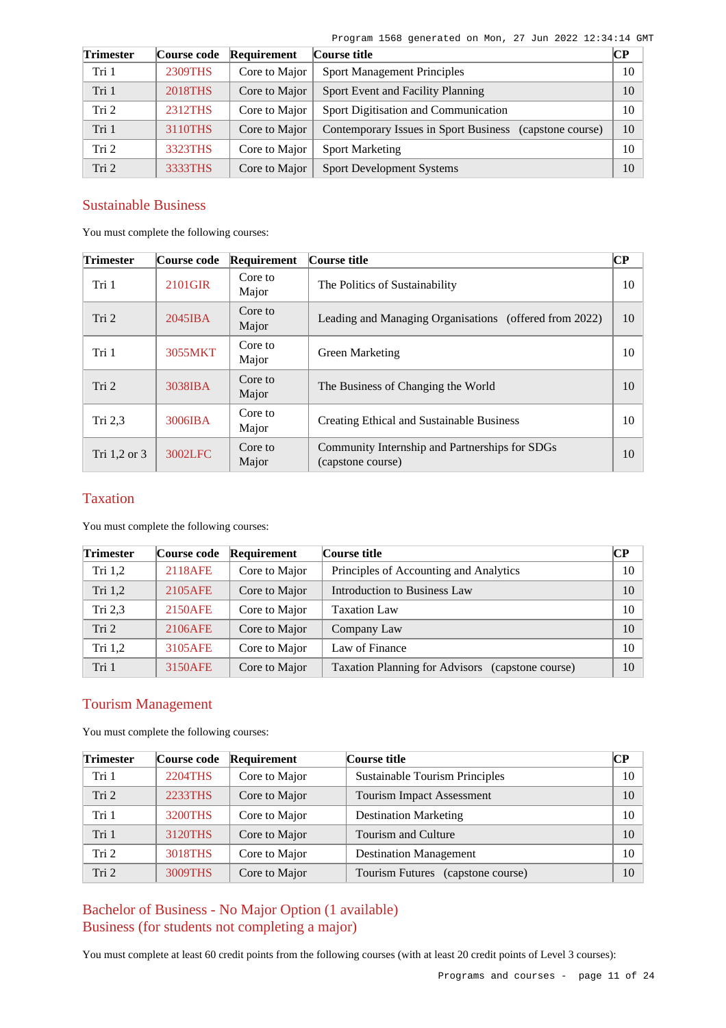| <b>Trimester</b> | Course code | Requirement   | Course title                                               | CР |
|------------------|-------------|---------------|------------------------------------------------------------|----|
| Tri 1            | 2309THS     | Core to Major | <b>Sport Management Principles</b>                         | 10 |
| Tri 1            | 2018THS     | Core to Major | Sport Event and Facility Planning                          | 10 |
| Tri <sub>2</sub> | 2312THS     | Core to Major | Sport Digitisation and Communication                       | 10 |
| Tri 1            | 3110THS     | Core to Major | Contemporary Issues in Sport Business<br>(capstone course) | 10 |
| Tri <sub>2</sub> | 3323THS     | Core to Major | <b>Sport Marketing</b>                                     | 10 |
| Tri <sub>2</sub> | 3333THS     | Core to Major | <b>Sport Development Systems</b>                           | 10 |

# Sustainable Business

You must complete the following courses:

| <b>Trimester</b> | Course code       | Requirement      | Course title                                                        | $\bf CP$ |
|------------------|-------------------|------------------|---------------------------------------------------------------------|----------|
| Tri 1            | 2101GIR           | Core to<br>Major | The Politics of Sustainability                                      | 10       |
| Tri 2            | $2045$ <b>IBA</b> | Core to<br>Major | Leading and Managing Organisations (offered from 2022)              | 10       |
| Tri 1            | 3055MKT           | Core to<br>Major | Green Marketing                                                     | 10       |
| Tri 2            | 3038IBA           | Core to<br>Major | The Business of Changing the World                                  | 10       |
| Tri $2,3$        | 3006IBA           | Core to<br>Major | <b>Creating Ethical and Sustainable Business</b>                    | 10       |
| Tri $1,2$ or $3$ | 3002LFC           | Core to<br>Major | Community Internship and Partnerships for SDGs<br>(capstone course) | 10       |

## Taxation

You must complete the following courses:

| <b>Trimester</b> | Course code | Requirement   | Course title                                               | CР |
|------------------|-------------|---------------|------------------------------------------------------------|----|
| Tri $1,2$        | 2118AFE     | Core to Major | Principles of Accounting and Analytics                     | 10 |
| Tri $1,2$        | 2105AFE     | Core to Major | Introduction to Business Law                               | 10 |
| Tri $2,3$        | 2150AFE     | Core to Major | <b>Taxation Law</b>                                        | 10 |
| Tri 2            | 2106AFE     | Core to Major | Company Law                                                | 10 |
| Tri $1,2$        | 3105AFE     | Core to Major | Law of Finance                                             | 10 |
| Tri 1            | 3150AFE     | Core to Major | <b>Taxation Planning for Advisors</b><br>(capstone course) | 10 |

# Tourism Management

You must complete the following courses:

| <b>Trimester</b> | Course code | Requirement   | Course title                                | CР |
|------------------|-------------|---------------|---------------------------------------------|----|
| Tri 1            | 2204THS     | Core to Major | <b>Sustainable Tourism Principles</b>       | 10 |
| Tri <sub>2</sub> | 2233THS     | Core to Major | Tourism Impact Assessment                   | 10 |
| Tri 1            | 3200THS     | Core to Major | <b>Destination Marketing</b>                | 10 |
| Tri 1            | 3120THS     | Core to Major | Tourism and Culture                         | 10 |
| Tri <sub>2</sub> | 3018THS     | Core to Major | <b>Destination Management</b>               | 10 |
| Tri <sub>2</sub> | 3009THS     | Core to Major | <b>Tourism Futures</b><br>(capstone course) | 10 |

Bachelor of Business - No Major Option (1 available) Business (for students not completing a major)

You must complete at least 60 credit points from the following courses (with at least 20 credit points of Level 3 courses):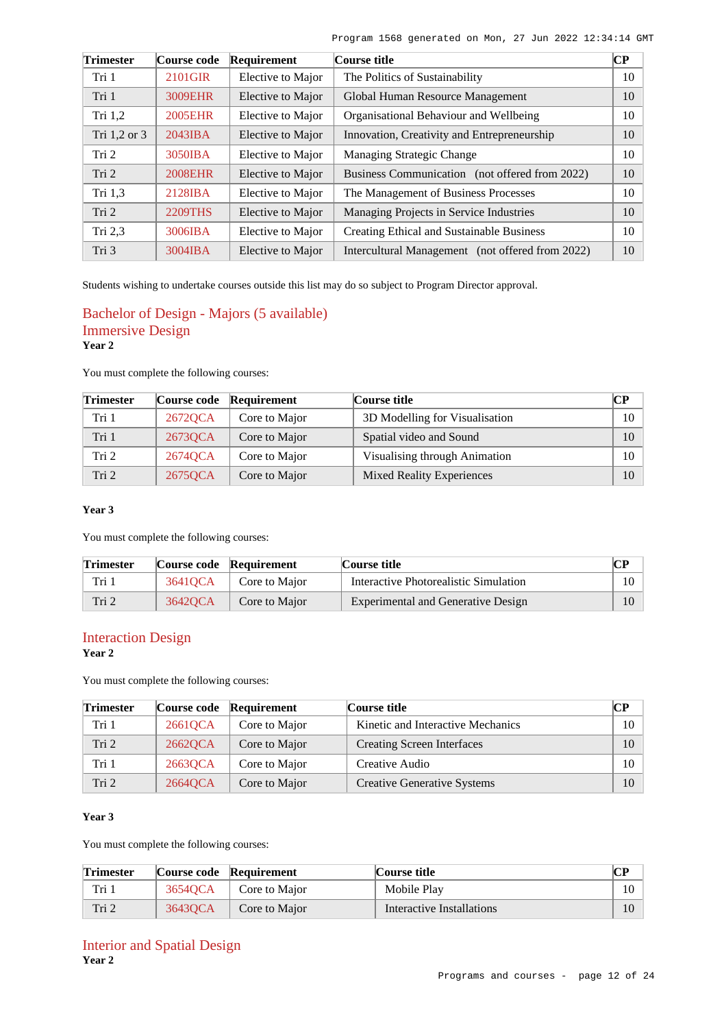| <b>Trimester</b> | Course code    | Requirement       | Course title                                     | $\overline{\mathbf{CP}}$ |
|------------------|----------------|-------------------|--------------------------------------------------|--------------------------|
| Tri 1            | 2101GIR        | Elective to Major | The Politics of Sustainability                   | 10                       |
| Tri 1            | 3009EHR        | Elective to Major | Global Human Resource Management                 | 10                       |
| Tri $1,2$        | <b>2005EHR</b> | Elective to Major | Organisational Behaviour and Wellbeing           | 10                       |
| Tri 1,2 or 3     | 2043IBA        | Elective to Major | Innovation, Creativity and Entrepreneurship      | 10                       |
| Tri 2            | 3050IBA        | Elective to Major | Managing Strategic Change                        | 10                       |
| Tri 2            | <b>2008EHR</b> | Elective to Major | Business Communication (not offered from 2022)   | 10                       |
| Tri 1,3          | 2128IBA        | Elective to Major | The Management of Business Processes             | 10                       |
| Tri <sub>2</sub> | <b>2209THS</b> | Elective to Major | Managing Projects in Service Industries          | 10                       |
| Tri $2,3$        | 3006IBA        | Elective to Major | Creating Ethical and Sustainable Business        | 10                       |
| Tri 3            | 3004IBA        | Elective to Major | Intercultural Management (not offered from 2022) | 10                       |

Students wishing to undertake courses outside this list may do so subject to Program Director approval.

## Bachelor of Design - Majors (5 available) Immersive Design **Year 2**

You must complete the following courses:

| <b>Trimester</b> | Course code | Requirement   | Course title                   | $\mathbb{C}P$ |
|------------------|-------------|---------------|--------------------------------|---------------|
| Tri 1            | 2672QCA     | Core to Major | 3D Modelling for Visualisation | 10            |
| Tri 1            | 2673QCA     | Core to Major | Spatial video and Sound        | 10            |
| Tri 2            | 2674QCA     | Core to Major | Visualising through Animation  | 10            |
| Tri <sub>2</sub> | 2675QCA     | Core to Major | Mixed Reality Experiences      | 10            |

### **Year 3**

You must complete the following courses:

| <b>Trimester</b> |         | Course code Requirement | Course title                          |        |
|------------------|---------|-------------------------|---------------------------------------|--------|
| Tri 1            | 36410CA | Core to Major           | Interactive Photorealistic Simulation | $10-1$ |
| Tri 2            | 36420CA | Core to Major           | Experimental and Generative Design    |        |

# Interaction Design

**Year 2**

You must complete the following courses:

| <b>Trimester</b> | Course code | Requirement   | Course title                       |        |
|------------------|-------------|---------------|------------------------------------|--------|
| Tri 1            | 26610CA     | Core to Major | Kinetic and Interactive Mechanics  | $10-1$ |
| Tri 2            | 26620CA     | Core to Major | Creating Screen Interfaces         | 10     |
| Tri 1            | 2663QCA     | Core to Major | Creative Audio                     | $10-1$ |
| Tri <sub>2</sub> | 26640CA     | Core to Major | <b>Creative Generative Systems</b> | 10     |

### **Year 3**

| <b>Trimester</b> |         | Course code Requirement | Course title              | CР |
|------------------|---------|-------------------------|---------------------------|----|
| Tri 1            | 3654OCA | Core to Major           | Mobile Play               | 10 |
| Tri 2            | 36430CA | Core to Major           | Interactive Installations | 10 |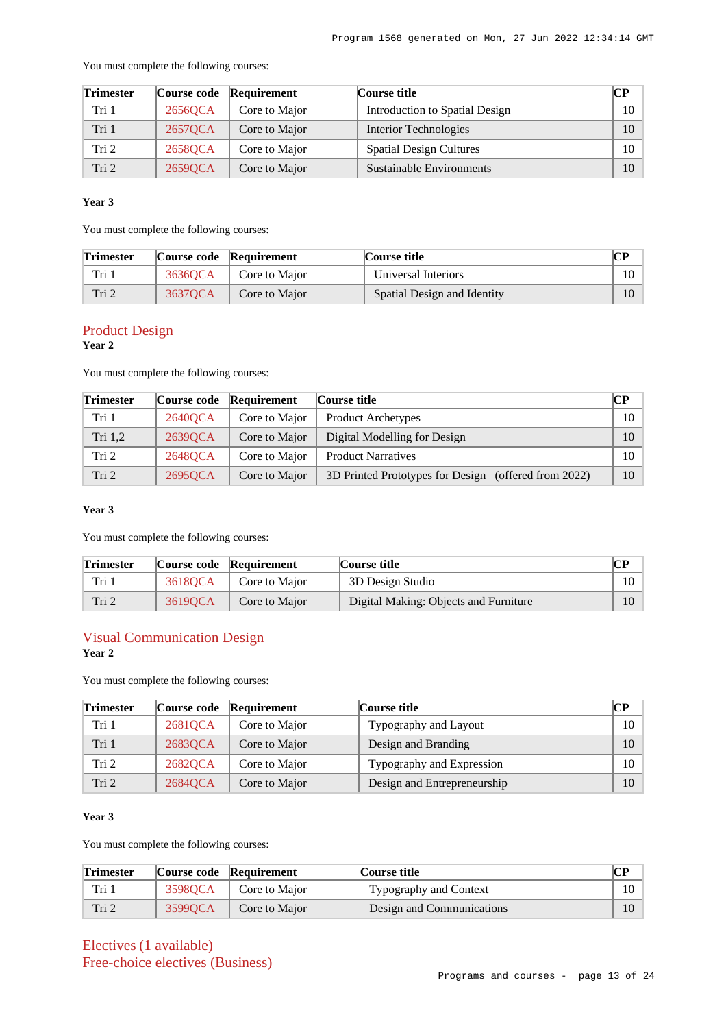You must complete the following courses:

| <b>Trimester</b> |         | Course code Requirement | Course title                   |        |
|------------------|---------|-------------------------|--------------------------------|--------|
| Tri 1            | 2656QCA | Core to Major           | Introduction to Spatial Design | $10-1$ |
| Tri 1            | 26570CA | Core to Major           | Interior Technologies          | 10     |
| Tri <sub>2</sub> | 2658QCA | Core to Major           | <b>Spatial Design Cultures</b> | $10-1$ |
| Tri <sub>2</sub> | 26590CA | Core to Major           | Sustainable Environments       | 10     |

### **Year 3**

You must complete the following courses:

| <b>Trimester</b> |         | Course code Requirement | Course title                | CР |
|------------------|---------|-------------------------|-----------------------------|----|
| Tri 1            | 3636OCA | Core to Major           | Universal Interiors         | 10 |
| Tri 2            | 3637OCA | Core to Major           | Spatial Design and Identity | 10 |

# Product Design

**Year 2**

You must complete the following courses:

| <b>Trimester</b> | Course code | Requirement   | Course title                                            | CР |
|------------------|-------------|---------------|---------------------------------------------------------|----|
| Tri 1            | 26400CA     | Core to Major | <b>Product Archetypes</b>                               | 10 |
| Tri 1,2          | 26390CA     | Core to Major | Digital Modelling for Design                            | 10 |
| Tri 2            | 26480CA     | Core to Major | <b>Product Narratives</b>                               | 10 |
| Tri 2            | 26950CA     | Core to Major | 3D Printed Prototypes for Design<br>(offered from 2022) | 10 |

### **Year 3**

You must complete the following courses:

| <b>Trimester</b> |         | Course code Requirement | Course title                          | CР |
|------------------|---------|-------------------------|---------------------------------------|----|
| Tri 1            | 36180CA | Core to Major           | 3D Design Studio                      |    |
| Tri 2            | 36190CA | Core to Major           | Digital Making: Objects and Furniture |    |

# Visual Communication Design

**Year 2**

You must complete the following courses:

| <b>Trimester</b> |         | Course code Requirement | Course title                | CР |
|------------------|---------|-------------------------|-----------------------------|----|
| Tri 1            | 2681QCA | Core to Major           | Typography and Layout       | 10 |
| Tri 1            | 2683QCA | Core to Major           | Design and Branding         | 10 |
| Tri 2            | 26820CA | Core to Major           | Typography and Expression   | 10 |
| Tri 2            | 26840CA | Core to Major           | Design and Entrepreneurship | 10 |

## **Year 3**

You must complete the following courses:

| <b>Trimester</b> |         | Course code Requirement | Course title              | ື  |
|------------------|---------|-------------------------|---------------------------|----|
| Tri 1            | 35980CA | Core to Major           | Typography and Context    | 10 |
| Tri 2            | 35990CA | Core to Major           | Design and Communications |    |

Electives (1 available) Free-choice electives (Business)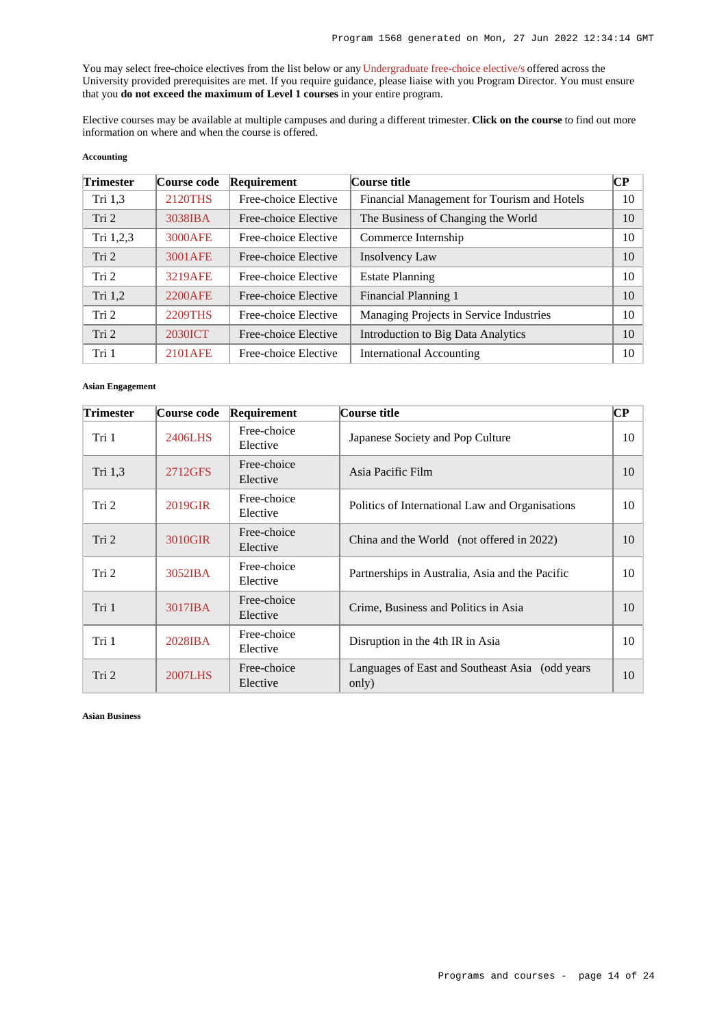You may select free-choice electives from the list below or any [Undergraduate free-choice elective/s](https://www148.griffith.edu.au/programs-courses/Search/Results?SearchRequestType=CourseCatalogue&AcademicCareerName=UGRD&IsFreeChoiceElective=True) offered across the University provided prerequisites are met. If you require guidance, please liaise with you Program Director. You must ensure that you **do not exceed the maximum of Level 1 courses** in your entire program.

Elective courses may be available at multiple campuses and during a different trimester. **Click on the course** to find out more information on where and when the course is offered.

### **Accounting**

| <b>Trimester</b> | Course code | Requirement          | Course title                                | CР |
|------------------|-------------|----------------------|---------------------------------------------|----|
| Tri $1,3$        | 2120THS     | Free-choice Elective | Financial Management for Tourism and Hotels | 10 |
| Tri 2            | 3038IBA     | Free-choice Elective | The Business of Changing the World          | 10 |
| Tri 1,2,3        | 3000AFE     | Free-choice Elective | Commerce Internship                         | 10 |
| Tri 2            | 3001 AFE    | Free-choice Elective | Insolvency Law                              | 10 |
| Tri 2            | 3219AFE     | Free-choice Elective | <b>Estate Planning</b>                      | 10 |
| Tri 1,2          | 2200AFE     | Free-choice Elective | Financial Planning 1                        | 10 |
| Tri 2            | 2209THS     | Free-choice Elective | Managing Projects in Service Industries     | 10 |
| Tri 2            | 2030ICT     | Free-choice Elective | Introduction to Big Data Analytics          | 10 |
| Tri 1            | 2101 AFE    | Free-choice Elective | <b>International Accounting</b>             | 10 |

#### **Asian Engagement**

| <b>Trimester</b> | Course code | Requirement             | Course title                                              | $\bf CP$ |
|------------------|-------------|-------------------------|-----------------------------------------------------------|----------|
| Tri 1            | 2406LHS     | Free-choice<br>Elective | Japanese Society and Pop Culture                          | 10       |
| Tri 1,3          | 2712GFS     | Free-choice<br>Elective | Asia Pacific Film                                         | 10       |
| Tri 2            | 2019GIR     | Free-choice<br>Elective | Politics of International Law and Organisations           | 10       |
| Tri 2            | 3010GIR     | Free-choice<br>Elective | China and the World (not offered in 2022)                 | 10       |
| Tri 2            | 3052IBA     | Free-choice<br>Elective | Partnerships in Australia, Asia and the Pacific           | 10       |
| Tri 1            | 3017IBA     | Free-choice<br>Elective | Crime, Business and Politics in Asia                      | 10       |
| Tri 1            | 2028IBA     | Free-choice<br>Elective | Disruption in the 4th IR in Asia                          | 10       |
| Tri 2            | 2007LHS     | Free-choice<br>Elective | Languages of East and Southeast Asia (odd years)<br>only) | 10       |

**Asian Business**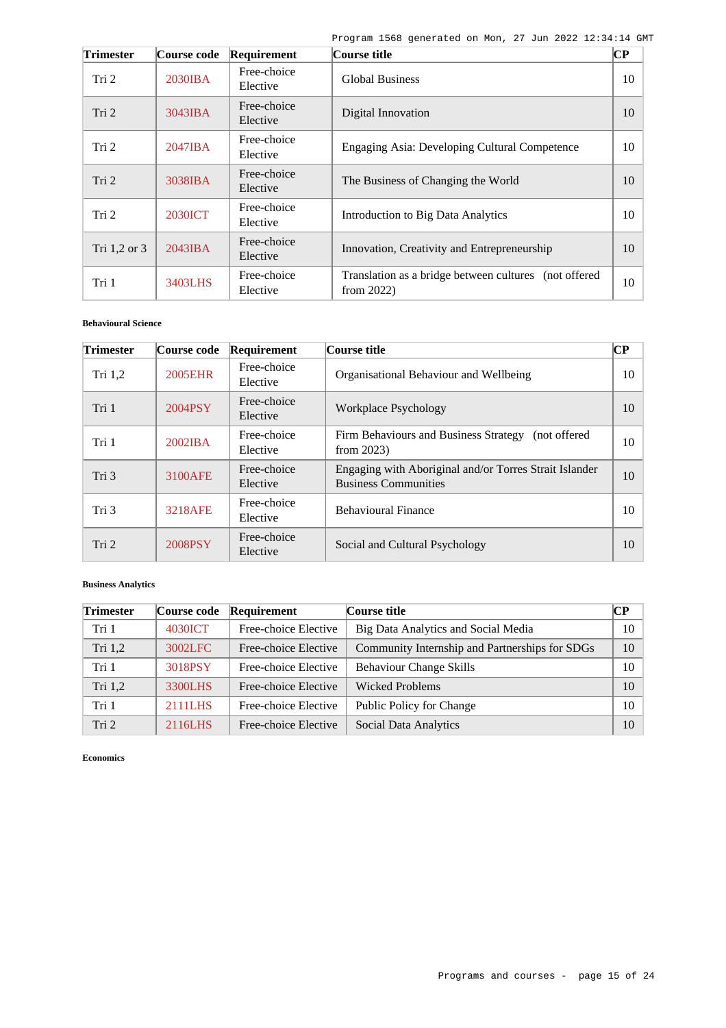| <b>Trimester</b> | Course code       | Requirement             | Course title                                                           | CР |
|------------------|-------------------|-------------------------|------------------------------------------------------------------------|----|
| Tri 2            | 2030IBA           | Free-choice<br>Elective | <b>Global Business</b>                                                 | 10 |
| Tri 2            | 3043IBA           | Free-choice<br>Elective | Digital Innovation                                                     | 10 |
| Tri 2            | $2047$ <b>IBA</b> | Free-choice<br>Elective | Engaging Asia: Developing Cultural Competence                          | 10 |
| Tri <sub>2</sub> | 3038IBA           | Free-choice<br>Elective | The Business of Changing the World                                     | 10 |
| Tri 2            | <b>2030ICT</b>    | Free-choice<br>Elective | Introduction to Big Data Analytics                                     | 10 |
| Tri 1,2 or 3     | $2043$ <b>IBA</b> | Free-choice<br>Elective | Innovation, Creativity and Entrepreneurship                            | 10 |
| Tri 1            | 3403LHS           | Free-choice<br>Elective | Translation as a bridge between cultures (not offered<br>from $2022$ ) | 10 |

## **Behavioural Science**

| <b>Trimester</b> | Course code    | Requirement             | Course title                                                                          | $\bf CP$ |
|------------------|----------------|-------------------------|---------------------------------------------------------------------------------------|----------|
| Tri $1,2$        | 2005EHR        | Free-choice<br>Elective | Organisational Behaviour and Wellbeing                                                | 10       |
| Tri 1            | 2004PSY        | Free-choice<br>Elective | Workplace Psychology                                                                  | 10       |
| Tri 1            | 2002IBA        | Free-choice<br>Elective | Firm Behaviours and Business Strategy (not offered<br>from $2023$ )                   | 10       |
| Tri 3            | 3100AFE        | Free-choice<br>Elective | Engaging with Aboriginal and/or Torres Strait Islander<br><b>Business Communities</b> | 10       |
| Tri 3            | <b>3218AFE</b> | Free-choice<br>Elective | <b>Behavioural Finance</b>                                                            | 10       |
| Tri 2            | 2008PSY        | Free-choice<br>Elective | Social and Cultural Psychology                                                        | 10       |

## **Business Analytics**

| <b>Trimester</b> | Course code | Requirement          | Course title                                   | CР |
|------------------|-------------|----------------------|------------------------------------------------|----|
| Tri 1            | 4030ICT     | Free-choice Elective | Big Data Analytics and Social Media            | 10 |
| Tri 1,2          | 3002LFC     | Free-choice Elective | Community Internship and Partnerships for SDGs | 10 |
| Tri 1            | 3018PSY     | Free-choice Elective | <b>Behaviour Change Skills</b>                 | 10 |
| Tri $1,2$        | 3300LHS     | Free-choice Elective | <b>Wicked Problems</b>                         | 10 |
| Tri 1            | 2111LHS     | Free-choice Elective | Public Policy for Change                       | 10 |
| Tri 2            | 2116LHS     | Free-choice Elective | Social Data Analytics                          | 10 |

**Economics**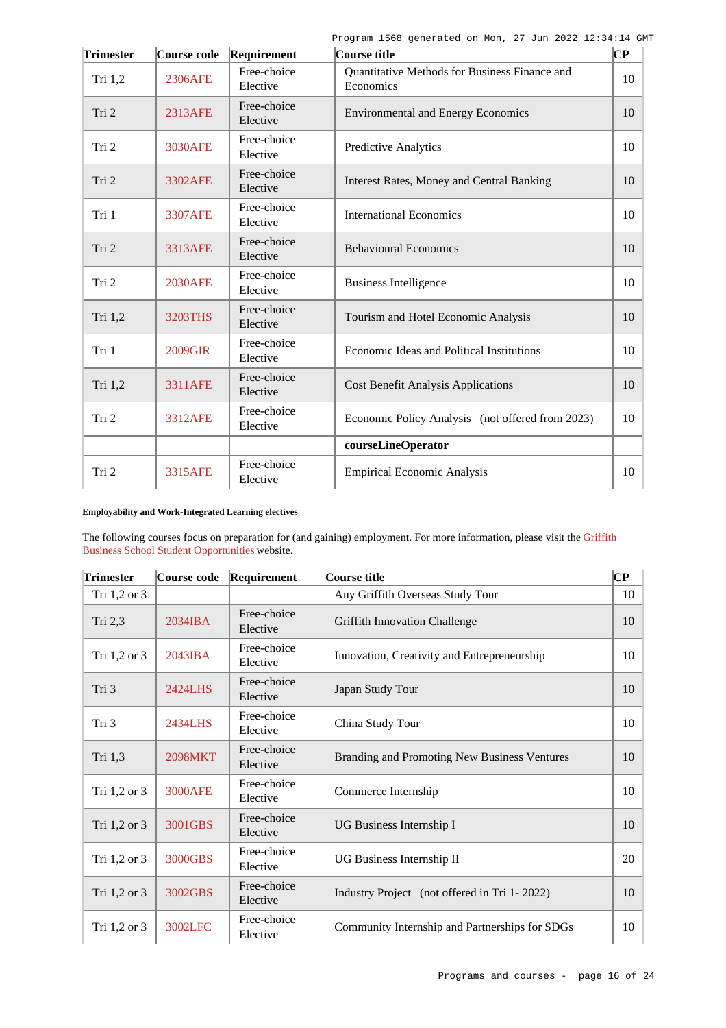| <b>Trimester</b> | Course code    | Requirement             | Course title                                               | $\overline{\mathbf{C}\mathbf{P}}$ |
|------------------|----------------|-------------------------|------------------------------------------------------------|-----------------------------------|
| Tri $1,2$        | 2306AFE        | Free-choice<br>Elective | Quantitative Methods for Business Finance and<br>Economics | 10                                |
| Tri 2            | 2313AFE        | Free-choice<br>Elective | <b>Environmental and Energy Economics</b>                  | 10                                |
| Tri 2            | 3030AFE        | Free-choice<br>Elective | <b>Predictive Analytics</b>                                | 10                                |
| Tri 2            | 3302AFE        | Free-choice<br>Elective | Interest Rates, Money and Central Banking                  | 10                                |
| Tri 1            | 3307AFE        | Free-choice<br>Elective | <b>International Economics</b>                             | 10                                |
| Tri 2            | 3313AFE        | Free-choice<br>Elective | <b>Behavioural Economics</b>                               | 10                                |
| Tri 2            | <b>2030AFE</b> | Free-choice<br>Elective | <b>Business Intelligence</b>                               | 10                                |
| Tri 1,2          | 3203THS        | Free-choice<br>Elective | Tourism and Hotel Economic Analysis                        | 10                                |
| Tri 1            | 2009GIR        | Free-choice<br>Elective | Economic Ideas and Political Institutions                  | 10                                |
| Tri 1,2          | <b>3311AFE</b> | Free-choice<br>Elective | <b>Cost Benefit Analysis Applications</b>                  | 10                                |
| Tri 2            | <b>3312AFE</b> | Free-choice<br>Elective | Economic Policy Analysis (not offered from 2023)           | 10                                |
|                  |                |                         | courseLineOperator                                         |                                   |
| Tri 2            | 3315AFE        | Free-choice<br>Elective | <b>Empirical Economic Analysis</b>                         | 10                                |

### **Employability and Work-Integrated Learning electives**

The following courses focus on preparation for (and gaining) employment. For more information, please visit the [Griffith](https://www.griffith.edu.au/griffith-business-school/student-opportunities) [Business School Student Opportunities](https://www.griffith.edu.au/griffith-business-school/student-opportunities) website.

| <b>Trimester</b> | Course code       | Requirement             | Course title                                   | $\mathbf C\mathbf P$ |
|------------------|-------------------|-------------------------|------------------------------------------------|----------------------|
| Tri 1,2 or 3     |                   |                         | Any Griffith Overseas Study Tour               | 10                   |
| Tri 2,3          | 2034IBA           | Free-choice<br>Elective | Griffith Innovation Challenge                  | 10                   |
| Tri 1,2 or 3     | $2043$ <b>IBA</b> | Free-choice<br>Elective | Innovation, Creativity and Entrepreneurship    | 10                   |
| Tri 3            | 2424LHS           | Free-choice<br>Elective | Japan Study Tour                               | 10                   |
| Tri 3            | 2434LHS           | Free-choice<br>Elective | China Study Tour                               | 10                   |
| Tri 1,3          | <b>2098MKT</b>    | Free-choice<br>Elective | Branding and Promoting New Business Ventures   | 10                   |
| Tri 1,2 or 3     | <b>3000AFE</b>    | Free-choice<br>Elective | Commerce Internship                            | 10                   |
| Tri 1,2 or 3     | 3001GBS           | Free-choice<br>Elective | UG Business Internship I                       | 10                   |
| Tri 1,2 or 3     | 3000GBS           | Free-choice<br>Elective | UG Business Internship II                      | 20                   |
| Tri 1,2 or 3     | 3002GBS           | Free-choice<br>Elective | Industry Project (not offered in Tri 1-2022)   | 10                   |
| Tri 1,2 or 3     | 3002LFC           | Free-choice<br>Elective | Community Internship and Partnerships for SDGs | 10                   |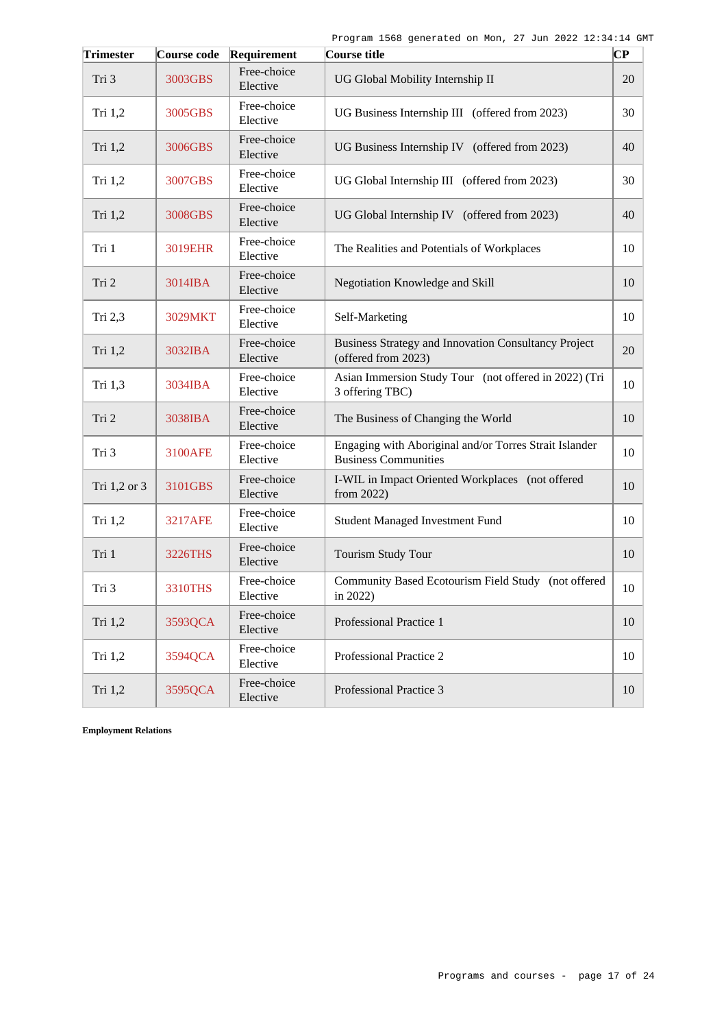| <b>Trimester</b> | Course code    | Requirement             | Course title                                                                          | $ {\bf CP}$ |
|------------------|----------------|-------------------------|---------------------------------------------------------------------------------------|-------------|
| Tri 3            | 3003GBS        | Free-choice<br>Elective | UG Global Mobility Internship II                                                      | 20          |
| Tri 1,2          | 3005GBS        | Free-choice<br>Elective | UG Business Internship III (offered from 2023)                                        | 30          |
| Tri 1,2          | 3006GBS        | Free-choice<br>Elective | UG Business Internship IV (offered from 2023)                                         | 40          |
| Tri 1,2          | 3007GBS        | Free-choice<br>Elective | UG Global Internship III (offered from 2023)                                          | 30          |
| Tri 1,2          | 3008GBS        | Free-choice<br>Elective | UG Global Internship IV (offered from 2023)                                           | 40          |
| Tri 1            | 3019EHR        | Free-choice<br>Elective | The Realities and Potentials of Workplaces                                            | 10          |
| Tri 2            | 3014IBA        | Free-choice<br>Elective | Negotiation Knowledge and Skill                                                       | 10          |
| Tri 2,3          | 3029MKT        | Free-choice<br>Elective | Self-Marketing                                                                        | 10          |
| Tri 1,2          | 3032IBA        | Free-choice<br>Elective | Business Strategy and Innovation Consultancy Project<br>(offered from 2023)           | 20          |
| Tri 1,3          | 3034IBA        | Free-choice<br>Elective | Asian Immersion Study Tour (not offered in 2022) (Tri<br>3 offering TBC)              | 10          |
| Tri 2            | 3038IBA        | Free-choice<br>Elective | The Business of Changing the World                                                    | 10          |
| Tri 3            | 3100AFE        | Free-choice<br>Elective | Engaging with Aboriginal and/or Torres Strait Islander<br><b>Business Communities</b> | 10          |
| Tri 1,2 or 3     | 3101GBS        | Free-choice<br>Elective | I-WIL in Impact Oriented Workplaces (not offered<br>from $2022$ )                     | 10          |
| Tri 1,2          | <b>3217AFE</b> | Free-choice<br>Elective | <b>Student Managed Investment Fund</b>                                                | 10          |
| Tri 1            | <b>3226THS</b> | Free-choice<br>Elective | Tourism Study Tour                                                                    | 10          |
| Tri 3            | 3310THS        | Free-choice<br>Elective | Community Based Ecotourism Field Study (not offered<br>in $2022$ )                    | 10          |
| Tri 1,2          | 3593QCA        | Free-choice<br>Elective | Professional Practice 1                                                               | 10          |
| Tri 1,2          | 3594QCA        | Free-choice<br>Elective | Professional Practice 2                                                               | 10          |
| Tri 1,2          | 3595QCA        | Free-choice<br>Elective | Professional Practice 3                                                               | 10          |

**Employment Relations**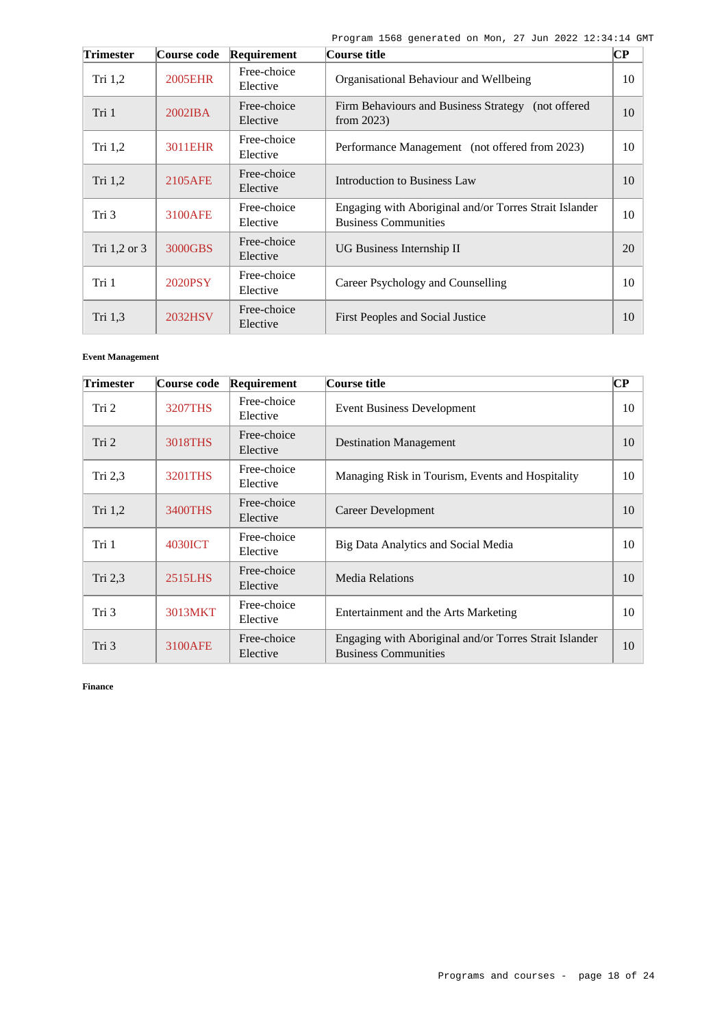| <b>Trimester</b> | Course code       | Requirement             | Course title                                                                          | $\bf CP$ |
|------------------|-------------------|-------------------------|---------------------------------------------------------------------------------------|----------|
| Tri $1,2$        | <b>2005EHR</b>    | Free-choice<br>Elective | Organisational Behaviour and Wellbeing                                                | 10       |
| Tri 1            | $2002$ <b>IBA</b> | Free-choice<br>Elective | Firm Behaviours and Business Strategy (not offered<br>from $2023$ )                   | 10       |
| Tri $1,2$        | 3011EHR           | Free-choice<br>Elective | Performance Management (not offered from 2023)                                        | 10       |
| Tri $1,2$        | 2105AFE           | Free-choice<br>Elective | Introduction to Business Law                                                          | 10       |
| Tri 3            | 3100AFE           | Free-choice<br>Elective | Engaging with Aboriginal and/or Torres Strait Islander<br><b>Business Communities</b> | 10       |
| Tri 1,2 or 3     | 3000GBS           | Free-choice<br>Elective | UG Business Internship II                                                             | 20       |
| Tri 1            | 2020PSY           | Free-choice<br>Elective | Career Psychology and Counselling                                                     | 10       |
| Tri 1,3          | 2032HSV           | Free-choice<br>Elective | First Peoples and Social Justice                                                      | 10       |

## **Event Management**

| <b>Trimester</b> | Course code    | Requirement             | Course title                                                                          | $\bf CP$ |
|------------------|----------------|-------------------------|---------------------------------------------------------------------------------------|----------|
| Tri 2            | <b>3207THS</b> | Free-choice<br>Elective | <b>Event Business Development</b>                                                     | 10       |
| Tri 2            | 3018THS        | Free-choice<br>Elective | <b>Destination Management</b>                                                         | 10       |
| Tri $2,3$        | 3201THS        | Free-choice<br>Elective | Managing Risk in Tourism, Events and Hospitality                                      | 10       |
| Tri 1,2          | 3400THS        | Free-choice<br>Elective | Career Development                                                                    | 10       |
| Tri 1            | 4030ICT        | Free-choice<br>Elective | Big Data Analytics and Social Media                                                   | 10       |
| Tri $2,3$        | 2515LHS        | Free-choice<br>Elective | <b>Media Relations</b>                                                                | 10       |
| Tri 3            | 3013MKT        | Free-choice<br>Elective | Entertainment and the Arts Marketing                                                  | 10       |
| Tri 3            | 3100AFE        | Free-choice<br>Elective | Engaging with Aboriginal and/or Torres Strait Islander<br><b>Business Communities</b> | 10       |

**Finance**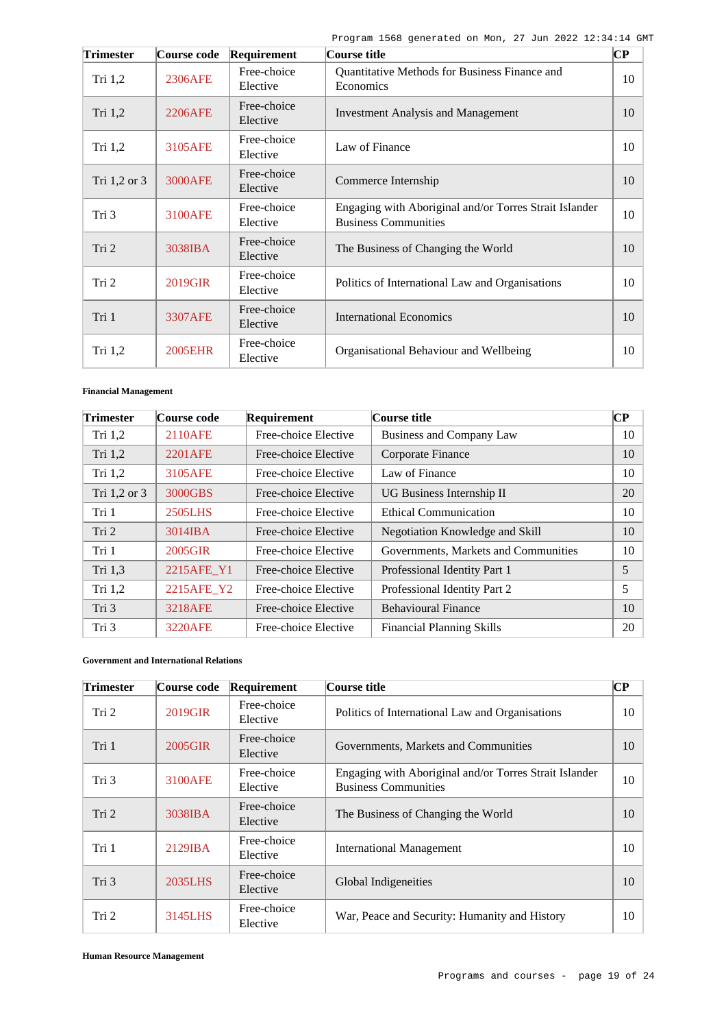| <b>Trimester</b> | Course code    | Requirement             | Course title                                                                          | $\overline{\mathbf{C}\mathbf{P}}$ |
|------------------|----------------|-------------------------|---------------------------------------------------------------------------------------|-----------------------------------|
| Tri $1,2$        | 2306AFE        | Free-choice<br>Elective | Quantitative Methods for Business Finance and<br>Economics                            | 10                                |
| Tri 1,2          | 2206AFE        | Free-choice<br>Elective | <b>Investment Analysis and Management</b>                                             | 10                                |
| Tri $1,2$        | 3105AFE        | Free-choice<br>Elective | Law of Finance                                                                        | 10                                |
| Tri $1,2$ or $3$ | 3000AFE        | Free-choice<br>Elective | Commerce Internship                                                                   | 10                                |
| Tri 3            | 3100AFE        | Free-choice<br>Elective | Engaging with Aboriginal and/or Torres Strait Islander<br><b>Business Communities</b> | 10                                |
| Tri 2            | 3038IBA        | Free-choice<br>Elective | The Business of Changing the World                                                    | 10                                |
| Tri 2            | 2019GIR        | Free-choice<br>Elective | Politics of International Law and Organisations                                       | 10                                |
| Tri 1            | <b>3307AFE</b> | Free-choice<br>Elective | <b>International Economics</b>                                                        | 10                                |
| Tri 1,2          | <b>2005EHR</b> | Free-choice<br>Elective | Organisational Behaviour and Wellbeing                                                | 10                                |

### **Financial Management**

| <b>Trimester</b> | Course code | Requirement          | Course title                         | $\bf CP$ |
|------------------|-------------|----------------------|--------------------------------------|----------|
| Tri $1,2$        | 2110AFE     | Free-choice Elective | <b>Business and Company Law</b>      | 10       |
| Tri 1,2          | 2201 AFE    | Free-choice Elective | Corporate Finance                    | 10       |
| Tri $1,2$        | 3105AFE     | Free-choice Elective | Law of Finance                       | 10       |
| Tri 1,2 or 3     | 3000GBS     | Free-choice Elective | UG Business Internship II            | 20       |
| Tri 1            | 2505LHS     | Free-choice Elective | <b>Ethical Communication</b>         | 10       |
| Tri 2            | 3014IBA     | Free-choice Elective | Negotiation Knowledge and Skill      | 10       |
| Tri 1            | 2005GIR     | Free-choice Elective | Governments, Markets and Communities | 10       |
| Tri 1,3          | 2215AFE_Y1  | Free-choice Elective | Professional Identity Part 1         | 5        |
| Tri 1,2          | 2215AFE_Y2  | Free-choice Elective | Professional Identity Part 2         | 5        |
| Tri 3            | 3218AFE     | Free-choice Elective | <b>Behavioural Finance</b>           | 10       |
| Tri 3            | 3220AFE     | Free-choice Elective | <b>Financial Planning Skills</b>     | 20       |

### **Government and International Relations**

| <b>Trimester</b> | Course code | Requirement             | Course title                                                                          | $\bf CP$ |
|------------------|-------------|-------------------------|---------------------------------------------------------------------------------------|----------|
| Tri 2            | 2019GIR     | Free-choice<br>Elective | Politics of International Law and Organisations                                       | 10       |
| Tri 1            | 2005GIR     | Free-choice<br>Elective | Governments, Markets and Communities                                                  | 10       |
| Tri 3            | 3100AFE     | Free-choice<br>Elective | Engaging with Aboriginal and/or Torres Strait Islander<br><b>Business Communities</b> | 10       |
| Tri <sub>2</sub> | 3038IBA     | Free-choice<br>Elective | The Business of Changing the World                                                    | 10       |
| Tri 1            | $2129$ IBA  | Free-choice<br>Elective | <b>International Management</b>                                                       | 10       |
| Tri 3            | 2035LHS     | Free-choice<br>Elective | Global Indigeneities                                                                  | 10       |
| Tri 2            | 3145LHS     | Free-choice<br>Elective | War, Peace and Security: Humanity and History                                         | 10       |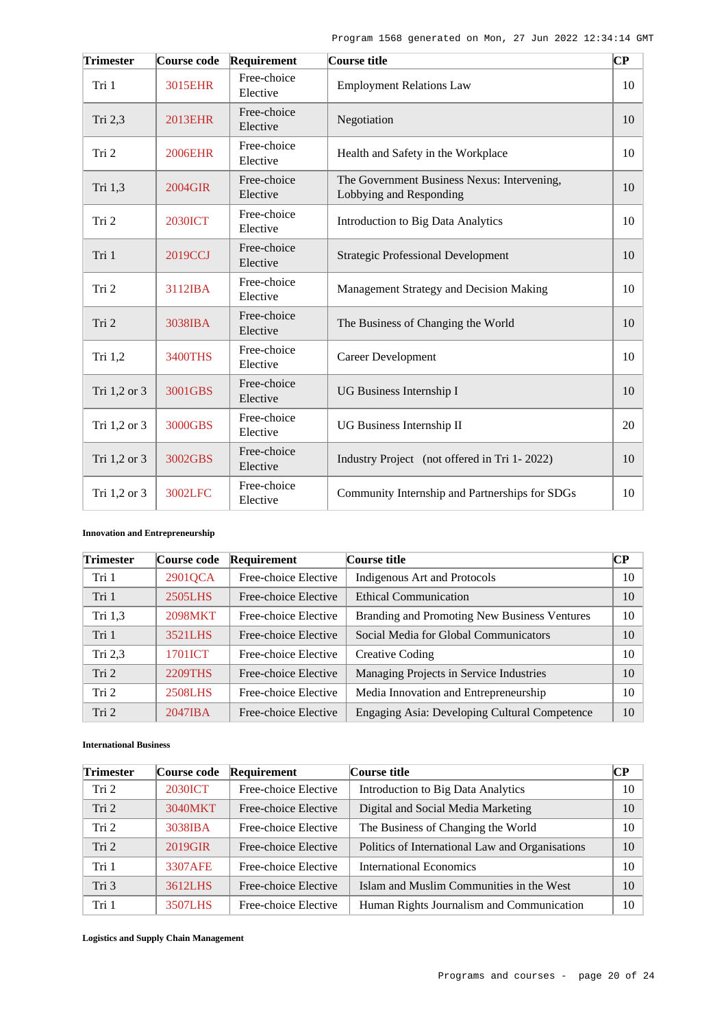| <b>Trimester</b> | Course code    | Requirement             | Course title                                                           | $\overline{\mathbf{C}\mathbf{P}}$ |
|------------------|----------------|-------------------------|------------------------------------------------------------------------|-----------------------------------|
| Tri 1            | 3015EHR        | Free-choice<br>Elective | <b>Employment Relations Law</b>                                        | 10                                |
| Tri 2,3          | <b>2013EHR</b> | Free-choice<br>Elective | Negotiation                                                            | 10                                |
| Tri 2            | <b>2006EHR</b> | Free-choice<br>Elective | Health and Safety in the Workplace                                     | 10                                |
| Tri 1,3          | 2004GIR        | Free-choice<br>Elective | The Government Business Nexus: Intervening,<br>Lobbying and Responding | 10                                |
| Tri 2            | <b>2030ICT</b> | Free-choice<br>Elective | <b>Introduction to Big Data Analytics</b>                              | 10                                |
| Tri 1            | 2019CCJ        | Free-choice<br>Elective | <b>Strategic Professional Development</b>                              | 10                                |
| Tri 2            | 3112IBA        | Free-choice<br>Elective | Management Strategy and Decision Making                                | 10                                |
| Tri 2            | 3038IBA        | Free-choice<br>Elective | The Business of Changing the World                                     | 10                                |
| Tri 1,2          | <b>3400THS</b> | Free-choice<br>Elective | <b>Career Development</b>                                              | 10                                |
| Tri 1,2 or 3     | 3001GBS        | Free-choice<br>Elective | UG Business Internship I                                               | 10                                |
| Tri 1,2 or 3     | 3000GBS        | Free-choice<br>Elective | UG Business Internship II                                              | 20                                |
| Tri 1,2 or 3     | 3002GBS        | Free-choice<br>Elective | Industry Project (not offered in Tri 1-2022)                           | 10                                |
| Tri 1,2 or 3     | 3002LFC        | Free-choice<br>Elective | Community Internship and Partnerships for SDGs                         | 10                                |

# **Innovation and Entrepreneurship**

| <b>Trimester</b> | Course code  | Requirement          | Course title                                  | $\bf CP$ |
|------------------|--------------|----------------------|-----------------------------------------------|----------|
| Tri 1            | 2901QCA      | Free-choice Elective | Indigenous Art and Protocols                  | 10       |
| Tri 1            | 2505LHS      | Free-choice Elective | <b>Ethical Communication</b>                  | 10       |
| Tri 1,3          | 2098MKT      | Free-choice Elective | Branding and Promoting New Business Ventures  | 10       |
| Tri 1            | 3521LHS      | Free-choice Elective | Social Media for Global Communicators         | 10       |
| Tri $2,3$        | 1701ICT      | Free-choice Elective | Creative Coding                               | 10       |
| Tri 2            | 2209THS      | Free-choice Elective | Managing Projects in Service Industries       | 10       |
| Tri 2            | 2508LHS      | Free-choice Elective | Media Innovation and Entrepreneurship         | 10       |
| Tri 2            | $2047$ $IBA$ | Free-choice Elective | Engaging Asia: Developing Cultural Competence | 10       |

## **International Business**

| <b>Trimester</b> | Course code    | Requirement          | Course title                                    | CР |
|------------------|----------------|----------------------|-------------------------------------------------|----|
| Tri 2            | <b>2030ICT</b> | Free-choice Elective | Introduction to Big Data Analytics              | 10 |
| Tri 2            | 3040MKT        | Free-choice Elective | Digital and Social Media Marketing              | 10 |
| Tri 2            | 3038IBA        | Free-choice Elective | The Business of Changing the World              | 10 |
| Tri <sub>2</sub> | 2019GIR        | Free-choice Elective | Politics of International Law and Organisations | 10 |
| Tri 1            | 3307AFE        | Free-choice Elective | International Economics                         | 10 |
| Tri 3            | 3612LHS        | Free-choice Elective | Islam and Muslim Communities in the West        | 10 |
| Tri 1            | 3507LHS        | Free-choice Elective | Human Rights Journalism and Communication       | 10 |

**Logistics and Supply Chain Management**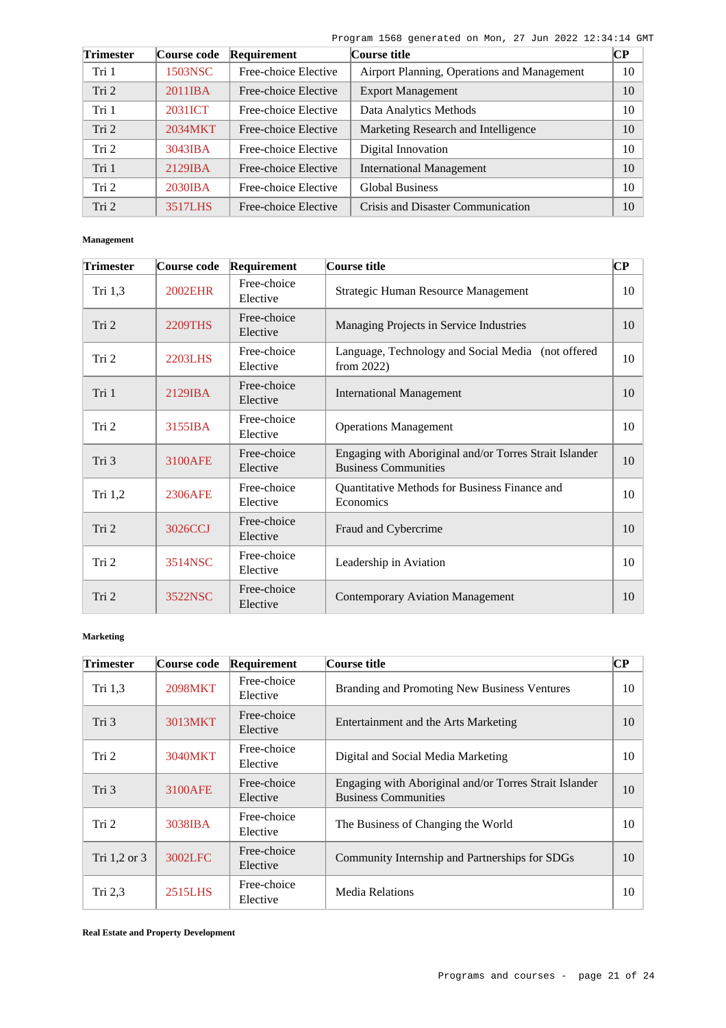| <b>Trimester</b> | Course code | Requirement          | Course title                                | CР |
|------------------|-------------|----------------------|---------------------------------------------|----|
| Tri 1            | 1503NSC     | Free-choice Elective | Airport Planning, Operations and Management | 10 |
| Tri 2            | 2011IBA     | Free-choice Elective | <b>Export Management</b>                    | 10 |
| Tri 1            | 2031ICT     | Free-choice Elective | Data Analytics Methods                      | 10 |
| Tri 2            | 2034MKT     | Free-choice Elective | Marketing Research and Intelligence         | 10 |
| Tri 2            | $3043$ IBA  | Free-choice Elective | Digital Innovation                          | 10 |
| Tri 1            | 2129IBA     | Free-choice Elective | <b>International Management</b>             | 10 |
| Tri 2            | 2030IBA     | Free-choice Elective | <b>Global Business</b>                      | 10 |
| Tri 2            | 3517LHS     | Free-choice Elective | Crisis and Disaster Communication           | 10 |

#### **Management**

| <b>Trimester</b> | Course code    | Requirement             | Course title                                                                          | $\overline{\mathbf{C}\mathbf{P}}$ |
|------------------|----------------|-------------------------|---------------------------------------------------------------------------------------|-----------------------------------|
| Tri 1,3          | <b>2002EHR</b> | Free-choice<br>Elective | Strategic Human Resource Management                                                   | 10                                |
| Tri 2            | <b>2209THS</b> | Free-choice<br>Elective | Managing Projects in Service Industries                                               | 10                                |
| Tri 2            | <b>2203LHS</b> | Free-choice<br>Elective | Language, Technology and Social Media (not offered<br>from $2022$ )                   | 10                                |
| Tri 1            | 2129IBA        | Free-choice<br>Elective | <b>International Management</b>                                                       | 10                                |
| Tri 2            | 3155IBA        | Free-choice<br>Elective | <b>Operations Management</b>                                                          | 10                                |
| Tri 3            | 3100AFE        | Free-choice<br>Elective | Engaging with Aboriginal and/or Torres Strait Islander<br><b>Business Communities</b> | 10                                |
| Tri 1,2          | 2306AFE        | Free-choice<br>Elective | Quantitative Methods for Business Finance and<br>Economics                            | 10                                |
| Tri 2            | 3026CCJ        | Free-choice<br>Elective | Fraud and Cybercrime                                                                  | 10                                |
| Tri 2            | 3514NSC        | Free-choice<br>Elective | Leadership in Aviation                                                                | 10                                |
| Tri 2            | 3522NSC        | Free-choice<br>Elective | <b>Contemporary Aviation Management</b>                                               | 10                                |

# **Marketing**

| <b>Trimester</b> | Course code    | Requirement             | Course title                                                                          | $\bf CP$ |
|------------------|----------------|-------------------------|---------------------------------------------------------------------------------------|----------|
| Tri 1,3          | <b>2098MKT</b> | Free-choice<br>Elective | Branding and Promoting New Business Ventures                                          | 10       |
| Tri 3            | 3013MKT        | Free-choice<br>Elective | Entertainment and the Arts Marketing                                                  | 10       |
| Tri 2            | 3040MKT        | Free-choice<br>Elective | Digital and Social Media Marketing                                                    | 10       |
| Tri 3            | 3100AFE        | Free-choice<br>Elective | Engaging with Aboriginal and/or Torres Strait Islander<br><b>Business Communities</b> | 10       |
| Tri <sub>2</sub> | 3038IBA        | Free-choice<br>Elective | The Business of Changing the World                                                    | 10       |
| Tri 1,2 or 3     | 3002LFC        | Free-choice<br>Elective | Community Internship and Partnerships for SDGs                                        | 10       |
| Tri 2,3          | 2515LHS        | Free-choice<br>Elective | <b>Media Relations</b>                                                                | 10       |

**Real Estate and Property Development**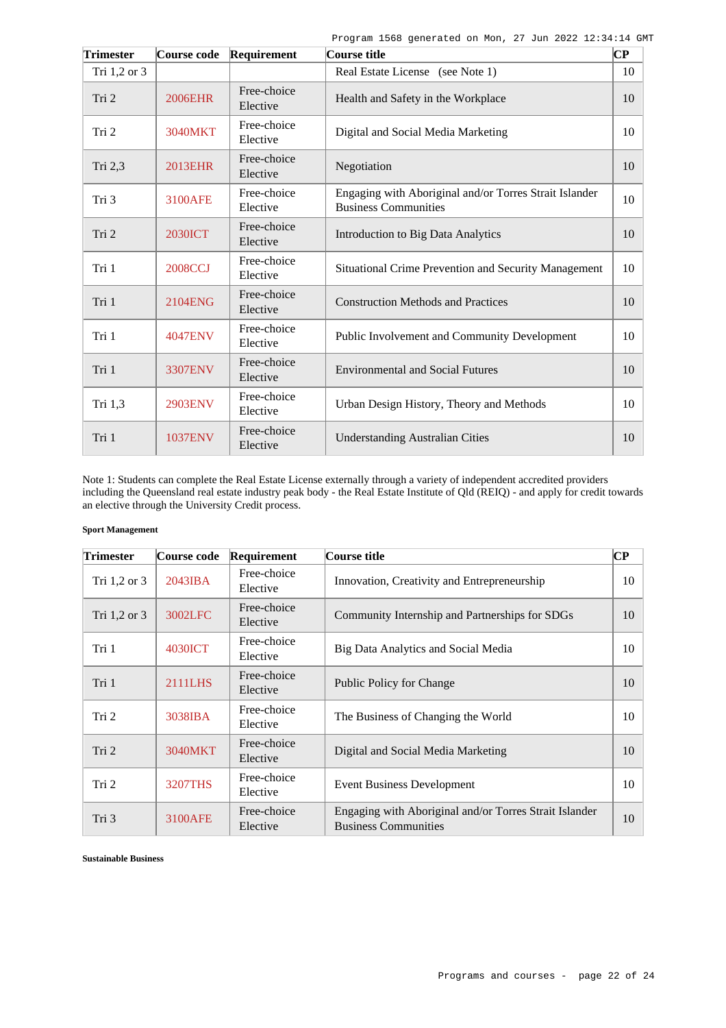| <b>Trimester</b> | Course code    | Requirement             | Course title                                                                          | $\overline{\mathbf{CP}}$ |
|------------------|----------------|-------------------------|---------------------------------------------------------------------------------------|--------------------------|
| Tri 1,2 or 3     |                |                         | Real Estate License (see Note 1)                                                      | 10                       |
| Tri 2            | <b>2006EHR</b> | Free-choice<br>Elective | Health and Safety in the Workplace                                                    | 10                       |
| Tri 2            | 3040MKT        | Free-choice<br>Elective | Digital and Social Media Marketing                                                    | 10                       |
| Tri 2,3          | <b>2013EHR</b> | Free-choice<br>Elective | Negotiation                                                                           | 10                       |
| Tri 3            | 3100AFE        | Free-choice<br>Elective | Engaging with Aboriginal and/or Torres Strait Islander<br><b>Business Communities</b> | 10                       |
| Tri 2            | <b>2030ICT</b> | Free-choice<br>Elective | <b>Introduction to Big Data Analytics</b>                                             | 10                       |
| Tri 1            | <b>2008CCJ</b> | Free-choice<br>Elective | Situational Crime Prevention and Security Management                                  | 10                       |
| Tri 1            | 2104ENG        | Free-choice<br>Elective | <b>Construction Methods and Practices</b>                                             | 10                       |
| Tri 1            | <b>4047ENV</b> | Free-choice<br>Elective | Public Involvement and Community Development                                          | 10                       |
| Tri 1            | 3307ENV        | Free-choice<br>Elective | <b>Environmental and Social Futures</b>                                               | 10                       |
| Tri 1,3          | <b>2903ENV</b> | Free-choice<br>Elective | Urban Design History, Theory and Methods                                              | 10                       |
| Tri 1            | <b>1037ENV</b> | Free-choice<br>Elective | <b>Understanding Australian Cities</b>                                                | 10                       |

Note 1: Students can complete the Real Estate License externally through a variety of independent accredited providers including the Queensland real estate industry peak body - the Real Estate Institute of Qld (REIQ) - and apply for credit towards an elective through the University Credit process.

### **Sport Management**

| <b>Trimester</b> | Course code       | Requirement             | Course title                                                                          | $\bf CP$ |
|------------------|-------------------|-------------------------|---------------------------------------------------------------------------------------|----------|
| Tri 1,2 or 3     | $2043$ <b>IBA</b> | Free-choice<br>Elective | Innovation, Creativity and Entrepreneurship                                           | 10       |
| Tri $1,2$ or $3$ | 3002LFC           | Free-choice<br>Elective | Community Internship and Partnerships for SDGs                                        | 10       |
| Tri 1            | 4030ICT           | Free-choice<br>Elective | Big Data Analytics and Social Media                                                   | 10       |
| Tri 1            | 2111LHS           | Free-choice<br>Elective | Public Policy for Change                                                              | 10       |
| Tri 2            | 3038IBA           | Free-choice<br>Elective | The Business of Changing the World                                                    | 10       |
| Tri 2            | 3040MKT           | Free-choice<br>Elective | Digital and Social Media Marketing                                                    | 10       |
| Tri 2            | <b>3207THS</b>    | Free-choice<br>Elective | <b>Event Business Development</b>                                                     | 10       |
| Tri 3            | 3100AFE           | Free-choice<br>Elective | Engaging with Aboriginal and/or Torres Strait Islander<br><b>Business Communities</b> | 10       |

**Sustainable Business**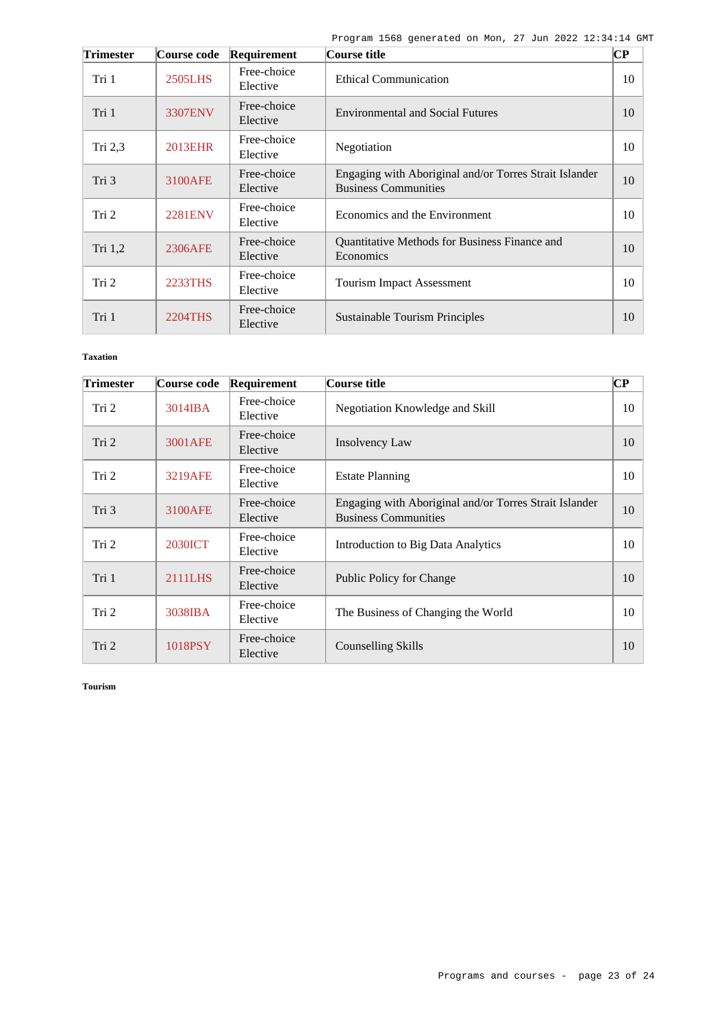| <b>Trimester</b> | Course code    | Requirement             | Course title                                                                          | $\bf CP$ |
|------------------|----------------|-------------------------|---------------------------------------------------------------------------------------|----------|
| Tri 1            | <b>2505LHS</b> | Free-choice<br>Elective | <b>Ethical Communication</b>                                                          | 10       |
| Tri 1            | <b>3307ENV</b> | Free-choice<br>Elective | <b>Environmental and Social Futures</b>                                               | 10       |
| Tri $2,3$        | <b>2013EHR</b> | Free-choice<br>Elective | Negotiation                                                                           | 10       |
| Tri <sub>3</sub> | 3100AFE        | Free-choice<br>Elective | Engaging with Aboriginal and/or Torres Strait Islander<br><b>Business Communities</b> | 10       |
| Tri <sub>2</sub> | <b>2281ENV</b> | Free-choice<br>Elective | Economics and the Environment                                                         | 10       |
| Tri 1,2          | 2306AFE        | Free-choice<br>Elective | Quantitative Methods for Business Finance and<br>Economics                            | 10       |
| Tri <sub>2</sub> | 2233THS        | Free-choice<br>Elective | <b>Tourism Impact Assessment</b>                                                      | 10       |
| Tri 1            | 2204THS        | Free-choice<br>Elective | <b>Sustainable Tourism Principles</b>                                                 | 10       |

## **Taxation**

| <b>Trimester</b> | Course code    | Requirement             | Course title                                                                          | $\bf CP$ |
|------------------|----------------|-------------------------|---------------------------------------------------------------------------------------|----------|
| Tri 2            | 3014IBA        | Free-choice<br>Elective | Negotiation Knowledge and Skill                                                       | 10       |
| Tri <sub>2</sub> | 3001AFE        | Free-choice<br>Elective | Insolvency Law                                                                        | 10       |
| Tri <sub>2</sub> | <b>3219AFE</b> | Free-choice<br>Elective | <b>Estate Planning</b>                                                                | 10       |
| Tri 3            | 3100AFE        | Free-choice<br>Elective | Engaging with Aboriginal and/or Torres Strait Islander<br><b>Business Communities</b> | 10       |
| Tri 2            | <b>2030ICT</b> | Free-choice<br>Elective | Introduction to Big Data Analytics                                                    | 10       |
| Tri 1            | 2111LHS        | Free-choice<br>Elective | Public Policy for Change                                                              | 10       |
| Tri 2            | 3038IBA        | Free-choice<br>Elective | The Business of Changing the World                                                    | 10       |
| Tri 2            | 1018PSY        | Free-choice<br>Elective | Counselling Skills                                                                    | 10       |

**Tourism**